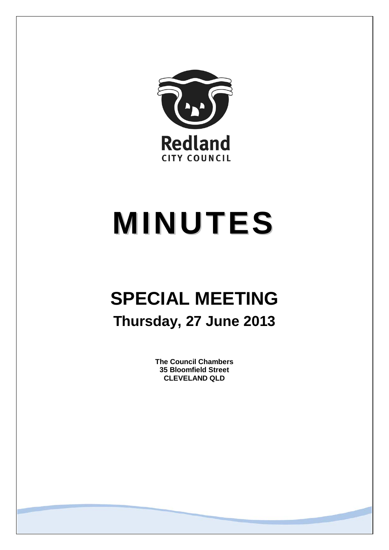

# **MINUTES**

# **SPECIAL MEETING Thursday, 27 June 2013**

**The Council Chambers 35 Bloomfield Street CLEVELAND QLD**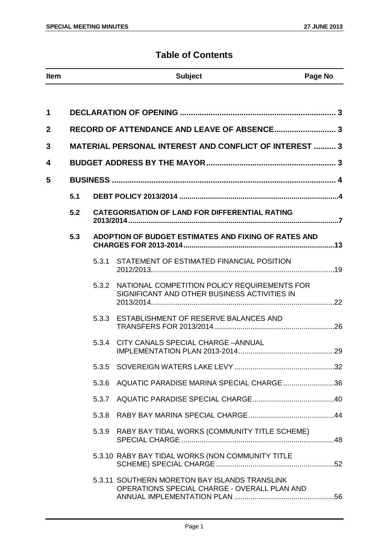# **Table of Contents**

| Item | <b>Subject</b> | Page No |
|------|----------------|---------|

| 1            |     |       |                                                                                               |  |
|--------------|-----|-------|-----------------------------------------------------------------------------------------------|--|
| $\mathbf{2}$ |     |       |                                                                                               |  |
| 3            |     |       | <b>MATERIAL PERSONAL INTEREST AND CONFLICT OF INTEREST  3</b>                                 |  |
| 4            |     |       |                                                                                               |  |
| 5            |     |       |                                                                                               |  |
|              | 5.1 |       |                                                                                               |  |
|              | 5.2 |       | <b>CATEGORISATION OF LAND FOR DIFFERENTIAL RATING</b>                                         |  |
|              | 5.3 |       | ADOPTION OF BUDGET ESTIMATES AND FIXING OF RATES AND                                          |  |
|              |     | 5.3.1 | STATEMENT OF ESTIMATED FINANCIAL POSITION                                                     |  |
|              |     | 5.3.2 | NATIONAL COMPETITION POLICY REQUIREMENTS FOR<br>SIGNIFICANT AND OTHER BUSINESS ACTIVITIES IN  |  |
|              |     | 5.3.3 | ESTABLISHMENT OF RESERVE BALANCES AND                                                         |  |
|              |     | 5.3.4 | CITY CANALS SPECIAL CHARGE - ANNUAL                                                           |  |
|              |     |       |                                                                                               |  |
|              |     |       | 5.3.6 AQUATIC PARADISE MARINA SPECIAL CHARGE 36                                               |  |
|              |     | 5.3.7 |                                                                                               |  |
|              |     | 5.3.8 |                                                                                               |  |
|              |     | 5.3.9 | RABY BAY TIDAL WORKS (COMMUNITY TITLE SCHEME)                                                 |  |
|              |     |       | 5.3.10 RABY BAY TIDAL WORKS (NON COMMUNITY TITLE                                              |  |
|              |     |       | 5.3.11 SOUTHERN MORETON BAY ISLANDS TRANSLINK<br>OPERATIONS SPECIAL CHARGE - OVERALL PLAN AND |  |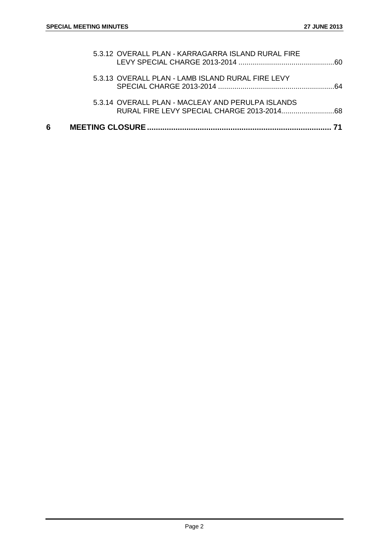| 6 |                                                    | 71 |
|---|----------------------------------------------------|----|
|   | 5.3.14 OVERALL PLAN - MACLEAY AND PERULPA ISLANDS  |    |
|   | 5.3.13 OVERALL PLAN - LAMB ISLAND RURAL FIRE LEVY  |    |
|   | 5.3.12 OVERALL PLAN - KARRAGARRA ISLAND RURAL FIRE |    |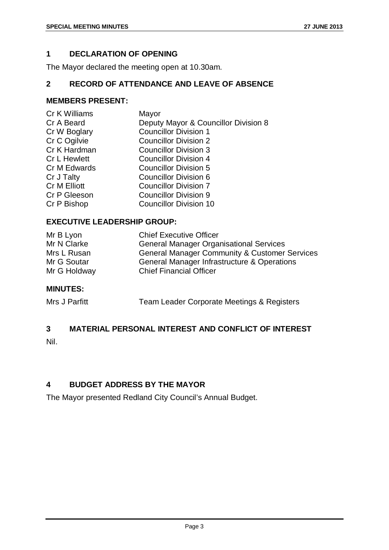# <span id="page-3-0"></span>**1 DECLARATION OF OPENING**

The Mayor declared the meeting open at 10.30am.

# <span id="page-3-1"></span>**2 RECORD OF ATTENDANCE AND LEAVE OF ABSENCE**

# **MEMBERS PRESENT:**

| Cr K Williams       | Mayor                                |
|---------------------|--------------------------------------|
| Cr A Beard          | Deputy Mayor & Councillor Division 8 |
| Cr W Boglary        | <b>Councillor Division 1</b>         |
| Cr C Ogilvie        | <b>Councillor Division 2</b>         |
| Cr K Hardman        | <b>Councillor Division 3</b>         |
| <b>Cr L Hewlett</b> | <b>Councillor Division 4</b>         |
| Cr M Edwards        | <b>Councillor Division 5</b>         |
| Cr J Talty          | <b>Councillor Division 6</b>         |
| Cr M Elliott        | <b>Councillor Division 7</b>         |
| Cr P Gleeson        | <b>Councillor Division 9</b>         |
| Cr P Bishop         | <b>Councillor Division 10</b>        |
|                     |                                      |

# **EXECUTIVE LEADERSHIP GROUP:**

| Mr B Lyon    | <b>Chief Executive Officer</b>                           |
|--------------|----------------------------------------------------------|
| Mr N Clarke  | <b>General Manager Organisational Services</b>           |
| Mrs L Rusan  | <b>General Manager Community &amp; Customer Services</b> |
| Mr G Soutar  | General Manager Infrastructure & Operations              |
| Mr G Holdway | <b>Chief Financial Officer</b>                           |

# **MINUTES:**

| Mrs J Parfitt | Team Leader Corporate Meetings & Registers |  |
|---------------|--------------------------------------------|--|
|---------------|--------------------------------------------|--|

# <span id="page-3-2"></span>**3 MATERIAL PERSONAL INTEREST AND CONFLICT OF INTEREST**

Nil.

# <span id="page-3-3"></span>**4 BUDGET ADDRESS BY THE MAYOR**

The Mayor presented Redland City Council's Annual Budget.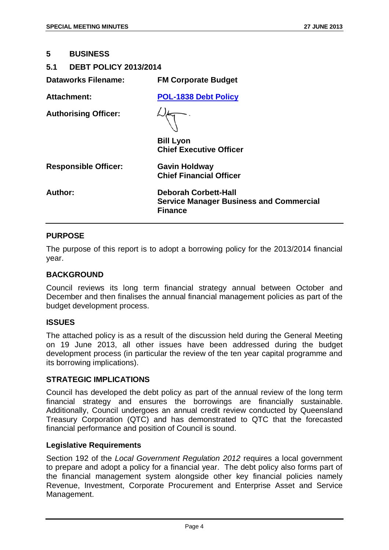#### <span id="page-4-0"></span>**5 BUSINESS**

# <span id="page-4-1"></span>**5.1 DEBT POLICY 2013/2014**

| Dataworks Filename:         | <b>FM Corporate Budget</b>                                                                      |
|-----------------------------|-------------------------------------------------------------------------------------------------|
| <b>Attachment:</b>          | <b>POL-1838 Debt Policy</b>                                                                     |
| <b>Authorising Officer:</b> |                                                                                                 |
|                             | <b>Bill Lyon</b><br><b>Chief Executive Officer</b>                                              |
| <b>Responsible Officer:</b> | <b>Gavin Holdway</b><br><b>Chief Financial Officer</b>                                          |
| <b>Author:</b>              | <b>Deborah Corbett-Hall</b><br><b>Service Manager Business and Commercial</b><br><b>Finance</b> |

#### **PURPOSE**

The purpose of this report is to adopt a borrowing policy for the 2013/2014 financial year.

#### **BACKGROUND**

Council reviews its long term financial strategy annual between October and December and then finalises the annual financial management policies as part of the budget development process.

# **ISSUES**

The attached policy is as a result of the discussion held during the General Meeting on 19 June 2013, all other issues have been addressed during the budget development process (in particular the review of the ten year capital programme and its borrowing implications).

# **STRATEGIC IMPLICATIONS**

Council has developed the debt policy as part of the annual review of the long term financial strategy and ensures the borrowings are financially sustainable. Additionally, Council undergoes an annual credit review conducted by Queensland Treasury Corporation (QTC) and has demonstrated to QTC that the forecasted financial performance and position of Council is sound.

#### **Legislative Requirements**

Section 192 of the *Local Government Regulation 2012* requires a local government to prepare and adopt a policy for a financial year. The debt policy also forms part of the financial management system alongside other key financial policies namely Revenue, Investment, Corporate Procurement and Enterprise Asset and Service Management.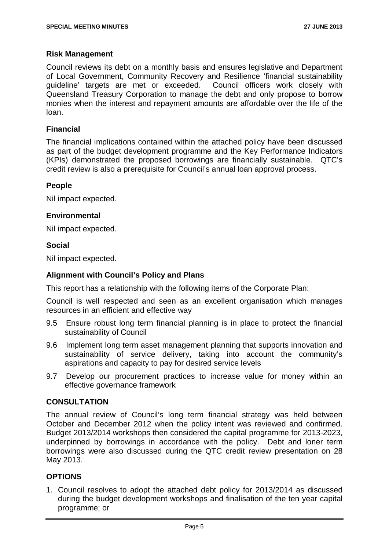# **Risk Management**

Council reviews its debt on a monthly basis and ensures legislative and Department of Local Government, Community Recovery and Resilience 'financial sustainability guideline' targets are met or exceeded. Council officers work closely with Queensland Treasury Corporation to manage the debt and only propose to borrow monies when the interest and repayment amounts are affordable over the life of the loan.

# **Financial**

The financial implications contained within the attached policy have been discussed as part of the budget development programme and the Key Performance Indicators (KPIs) demonstrated the proposed borrowings are financially sustainable. QTC's credit review is also a prerequisite for Council's annual loan approval process.

# **People**

Nil impact expected.

# **Environmental**

Nil impact expected.

# **Social**

Nil impact expected.

# **Alignment with Council's Policy and Plans**

This report has a relationship with the following items of the Corporate Plan:

Council is well respected and seen as an excellent organisation which manages resources in an efficient and effective way

- 9.5 Ensure robust long term financial planning is in place to protect the financial sustainability of Council
- 9.6 Implement long term asset management planning that supports innovation and sustainability of service delivery, taking into account the community's aspirations and capacity to pay for desired service levels
- 9.7 Develop our procurement practices to increase value for money within an effective governance framework

# **CONSULTATION**

The annual review of Council's long term financial strategy was held between October and December 2012 when the policy intent was reviewed and confirmed. Budget 2013/2014 workshops then considered the capital programme for 2013-2023, underpinned by borrowings in accordance with the policy. Debt and loner term borrowings were also discussed during the QTC credit review presentation on 28 May 2013.

# **OPTIONS**

1. Council resolves to adopt the attached debt policy for 2013/2014 as discussed during the budget development workshops and finalisation of the ten year capital programme; or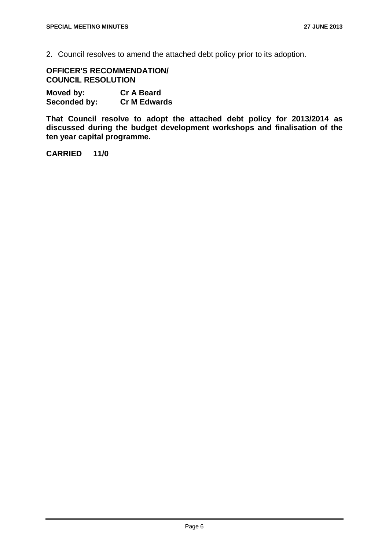2. Council resolves to amend the attached debt policy prior to its adoption.

**OFFICER'S RECOMMENDATION/ COUNCIL RESOLUTION**

**Moved by: Cr A Beard Seconded by:** 

**That Council resolve to adopt the attached debt policy for 2013/2014 as discussed during the budget development workshops and finalisation of the ten year capital programme.**

**CARRIED 11/0**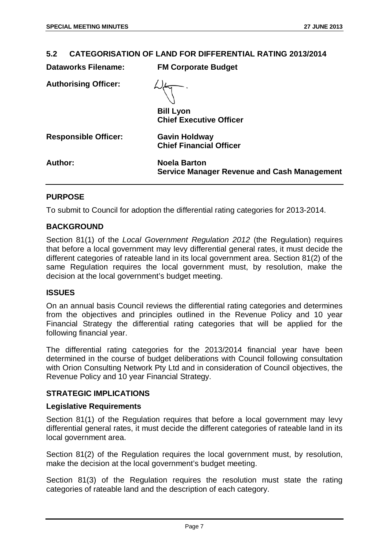# <span id="page-7-0"></span>**5.2 CATEGORISATION OF LAND FOR DIFFERENTIAL RATING 2013/2014**

| <b>Dataworks Filename:</b>  | <b>FM Corporate Budget</b>                                                |
|-----------------------------|---------------------------------------------------------------------------|
| <b>Authorising Officer:</b> |                                                                           |
|                             | <b>Bill Lyon</b><br><b>Chief Executive Officer</b>                        |
| <b>Responsible Officer:</b> | <b>Gavin Holdway</b><br><b>Chief Financial Officer</b>                    |
| Author:                     | <b>Noela Barton</b><br><b>Service Manager Revenue and Cash Management</b> |

# **PURPOSE**

To submit to Council for adoption the differential rating categories for 2013-2014.

# **BACKGROUND**

Section 81(1) of the *Local Government Regulation 2012* (the Regulation) requires that before a local government may levy differential general rates, it must decide the different categories of rateable land in its local government area. Section 81(2) of the same Regulation requires the local government must, by resolution, make the decision at the local government's budget meeting.

# **ISSUES**

On an annual basis Council reviews the differential rating categories and determines from the objectives and principles outlined in the Revenue Policy and 10 year Financial Strategy the differential rating categories that will be applied for the following financial year.

The differential rating categories for the 2013/2014 financial year have been determined in the course of budget deliberations with Council following consultation with Orion Consulting Network Pty Ltd and in consideration of Council objectives, the Revenue Policy and 10 year Financial Strategy.

# **STRATEGIC IMPLICATIONS**

# **Legislative Requirements**

Section 81(1) of the Regulation requires that before a local government may levy differential general rates, it must decide the different categories of rateable land in its local government area.

Section 81(2) of the Regulation requires the local government must, by resolution, make the decision at the local government's budget meeting.

Section 81(3) of the Regulation requires the resolution must state the rating categories of rateable land and the description of each category.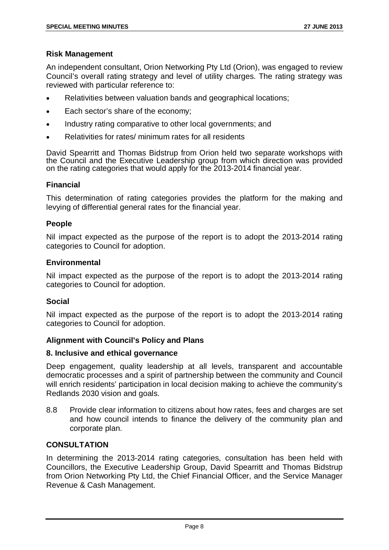# **Risk Management**

An independent consultant, Orion Networking Pty Ltd (Orion), was engaged to review Council's overall rating strategy and level of utility charges. The rating strategy was reviewed with particular reference to:

- Relativities between valuation bands and geographical locations;
- Each sector's share of the economy:
- Industry rating comparative to other local governments; and
- Relativities for rates/ minimum rates for all residents

David Spearritt and Thomas Bidstrup from Orion held two separate workshops with the Council and the Executive Leadership group from which direction was provided on the rating categories that would apply for the 2013-2014 financial year.

# **Financial**

This determination of rating categories provides the platform for the making and levying of differential general rates for the financial year.

# **People**

Nil impact expected as the purpose of the report is to adopt the 2013-2014 rating categories to Council for adoption.

# **Environmental**

Nil impact expected as the purpose of the report is to adopt the 2013-2014 rating categories to Council for adoption.

# **Social**

Nil impact expected as the purpose of the report is to adopt the 2013-2014 rating categories to Council for adoption.

# **Alignment with Council's Policy and Plans**

# **8. Inclusive and ethical governance**

Deep engagement, quality leadership at all levels, transparent and accountable democratic processes and a spirit of partnership between the community and Council will enrich residents' participation in local decision making to achieve the community's Redlands 2030 vision and goals.

8.8 Provide clear information to citizens about how rates, fees and charges are set and how council intends to finance the delivery of the community plan and corporate plan.

# **CONSULTATION**

In determining the 2013-2014 rating categories, consultation has been held with Councillors, the Executive Leadership Group, David Spearritt and Thomas Bidstrup from Orion Networking Pty Ltd, the Chief Financial Officer, and the Service Manager Revenue & Cash Management.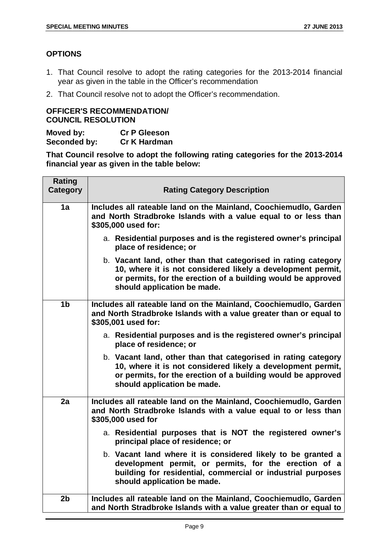# **OPTIONS**

- 1. That Council resolve to adopt the rating categories for the 2013-2014 financial year as given in the table in the Officer's recommendation
- 2. That Council resolve not to adopt the Officer's recommendation.

# **OFFICER'S RECOMMENDATION/ COUNCIL RESOLUTION**

| Moved by:    | <b>Cr P Gleeson</b> |
|--------------|---------------------|
| Seconded by: | <b>Cr K Hardman</b> |

**That Council resolve to adopt the following rating categories for the 2013-2014 financial year as given in the table below:**

| <b>Rating</b><br><b>Category</b> | <b>Rating Category Description</b>                                                                                                                                                                                           |
|----------------------------------|------------------------------------------------------------------------------------------------------------------------------------------------------------------------------------------------------------------------------|
| 1a                               | Includes all rateable land on the Mainland, Coochiemudlo, Garden<br>and North Stradbroke Islands with a value equal to or less than<br>\$305,000 used for:                                                                   |
|                                  | a. Residential purposes and is the registered owner's principal<br>place of residence; or                                                                                                                                    |
|                                  | b. Vacant land, other than that categorised in rating category<br>10, where it is not considered likely a development permit,<br>or permits, for the erection of a building would be approved<br>should application be made. |
| 1 <sub>b</sub>                   | Includes all rateable land on the Mainland, Coochiemudlo, Garden<br>and North Stradbroke Islands with a value greater than or equal to<br>\$305,001 used for:                                                                |
|                                  | a. Residential purposes and is the registered owner's principal<br>place of residence; or                                                                                                                                    |
|                                  | b. Vacant land, other than that categorised in rating category<br>10, where it is not considered likely a development permit,<br>or permits, for the erection of a building would be approved<br>should application be made. |
| 2a                               | Includes all rateable land on the Mainland, Coochiemudlo, Garden<br>and North Stradbroke Islands with a value equal to or less than<br>\$305,000 used for                                                                    |
|                                  | a. Residential purposes that is NOT the registered owner's<br>principal place of residence; or                                                                                                                               |
|                                  | b. Vacant land where it is considered likely to be granted a<br>development permit, or permits, for the erection of a<br>building for residential, commercial or industrial purposes<br>should application be made.          |
| 2 <sub>b</sub>                   | Includes all rateable land on the Mainland, Coochiemudlo, Garden<br>and North Stradbroke Islands with a value greater than or equal to                                                                                       |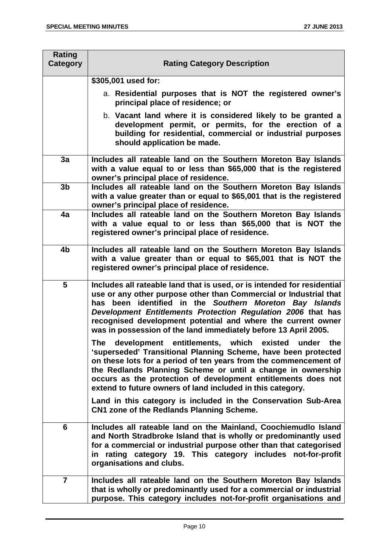| <b>Rating</b><br>Category | <b>Rating Category Description</b>                                                                                                                                                                                                                                                                                                                                                                         |
|---------------------------|------------------------------------------------------------------------------------------------------------------------------------------------------------------------------------------------------------------------------------------------------------------------------------------------------------------------------------------------------------------------------------------------------------|
|                           | \$305,001 used for:                                                                                                                                                                                                                                                                                                                                                                                        |
|                           | a. Residential purposes that is NOT the registered owner's<br>principal place of residence; or                                                                                                                                                                                                                                                                                                             |
|                           | b. Vacant land where it is considered likely to be granted a<br>development permit, or permits, for the erection of a<br>building for residential, commercial or industrial purposes<br>should application be made.                                                                                                                                                                                        |
| 3a                        | Includes all rateable land on the Southern Moreton Bay Islands<br>with a value equal to or less than \$65,000 that is the registered<br>owner's principal place of residence.                                                                                                                                                                                                                              |
| 3 <sub>b</sub>            | Includes all rateable land on the Southern Moreton Bay Islands<br>with a value greater than or equal to \$65,001 that is the registered<br>owner's principal place of residence.                                                                                                                                                                                                                           |
| 4a                        | Includes all rateable land on the Southern Moreton Bay Islands<br>with a value equal to or less than \$65,000 that is NOT the<br>registered owner's principal place of residence.                                                                                                                                                                                                                          |
| 4b                        | Includes all rateable land on the Southern Moreton Bay Islands<br>with a value greater than or equal to \$65,001 that is NOT the<br>registered owner's principal place of residence.                                                                                                                                                                                                                       |
| 5                         | Includes all rateable land that is used, or is intended for residential<br>use or any other purpose other than Commercial or Industrial that<br>has been identified in the Southern Moreton Bay Islands<br>Development Entitlements Protection Regulation 2006 that has<br>recognised development potential and where the current owner<br>was in possession of the land immediately before 13 April 2005. |
|                           | The development entitlements, which existed under the<br>'superseded' Transitional Planning Scheme, have been protected<br>on these lots for a period of ten years from the commencement of<br>the Redlands Planning Scheme or until a change in ownership<br>occurs as the protection of development entitlements does not<br>extend to future owners of land included in this category.                  |
|                           | Land in this category is included in the Conservation Sub-Area<br>CN1 zone of the Redlands Planning Scheme.                                                                                                                                                                                                                                                                                                |
| 6                         | Includes all rateable land on the Mainland, Coochiemudlo Island<br>and North Stradbroke Island that is wholly or predominantly used<br>for a commercial or industrial purpose other than that categorised<br>in rating category 19. This category includes not-for-profit<br>organisations and clubs.                                                                                                      |
| $\overline{7}$            | Includes all rateable land on the Southern Moreton Bay Islands<br>that is wholly or predominantly used for a commercial or industrial<br>purpose. This category includes not-for-profit organisations and                                                                                                                                                                                                  |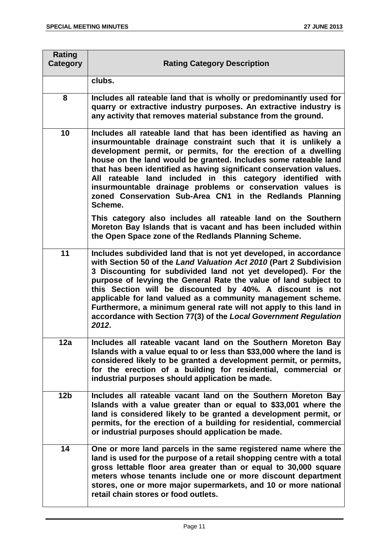| <b>Rating</b><br>Category | <b>Rating Category Description</b>                                                                                                                                                                                                                                                                                                                                                                                                                                                                                                                           |
|---------------------------|--------------------------------------------------------------------------------------------------------------------------------------------------------------------------------------------------------------------------------------------------------------------------------------------------------------------------------------------------------------------------------------------------------------------------------------------------------------------------------------------------------------------------------------------------------------|
|                           | clubs.                                                                                                                                                                                                                                                                                                                                                                                                                                                                                                                                                       |
| 8                         | Includes all rateable land that is wholly or predominantly used for<br>quarry or extractive industry purposes. An extractive industry is<br>any activity that removes material substance from the ground.                                                                                                                                                                                                                                                                                                                                                    |
| 10                        | Includes all rateable land that has been identified as having an<br>insurmountable drainage constraint such that it is unlikely a<br>development permit, or permits, for the erection of a dwelling<br>house on the land would be granted. Includes some rateable land<br>that has been identified as having significant conservation values.<br>All rateable land included in this category identified with<br>insurmountable drainage problems or conservation values is<br>zoned Conservation Sub-Area CN1 in the Redlands Planning<br>Scheme.            |
|                           | This category also includes all rateable land on the Southern<br>Moreton Bay Islands that is vacant and has been included within<br>the Open Space zone of the Redlands Planning Scheme.                                                                                                                                                                                                                                                                                                                                                                     |
| 11                        | Includes subdivided land that is not yet developed, in accordance<br>with Section 50 of the Land Valuation Act 2010 (Part 2 Subdivision<br>3 Discounting for subdivided land not yet developed). For the<br>purpose of levying the General Rate the value of land subject to<br>this Section will be discounted by 40%. A discount is not<br>applicable for land valued as a community management scheme.<br>Furthermore, a minimum general rate will not apply to this land in<br>accordance with Section 77(3) of the Local Government Regulation<br>2012. |
| 12a                       | Includes all rateable vacant land on the Southern Moreton Bay<br>Islands with a value equal to or less than \$33,000 where the land is<br>considered likely to be granted a development permit, or permits,<br>for the erection of a building for residential, commercial or<br>industrial purposes should application be made.                                                                                                                                                                                                                              |
| 12 <sub>b</sub>           | Includes all rateable vacant land on the Southern Moreton Bay<br>Islands with a value greater than or equal to \$33,001 where the<br>land is considered likely to be granted a development permit, or<br>permits, for the erection of a building for residential, commercial<br>or industrial purposes should application be made.                                                                                                                                                                                                                           |
| 14                        | One or more land parcels in the same registered name where the<br>land is used for the purpose of a retail shopping centre with a total<br>gross lettable floor area greater than or equal to 30,000 square<br>meters whose tenants include one or more discount department<br>stores, one or more major supermarkets, and 10 or more national<br>retail chain stores or food outlets.                                                                                                                                                                       |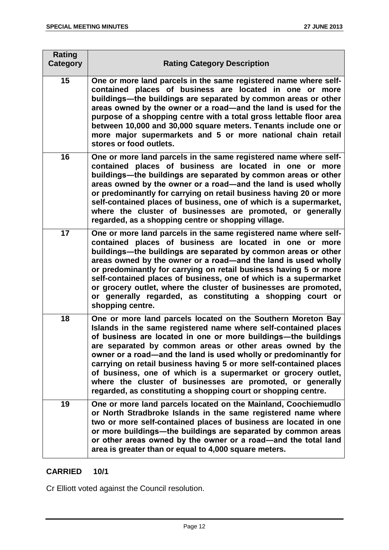| <b>Rating</b><br>Category | <b>Rating Category Description</b>                                                                                                                                                                                                                                                                                                                                                                                                                                                                                                                                                                        |
|---------------------------|-----------------------------------------------------------------------------------------------------------------------------------------------------------------------------------------------------------------------------------------------------------------------------------------------------------------------------------------------------------------------------------------------------------------------------------------------------------------------------------------------------------------------------------------------------------------------------------------------------------|
| 15                        | One or more land parcels in the same registered name where self-<br>contained places of business are located in one or more<br>buildings-the buildings are separated by common areas or other<br>areas owned by the owner or a road—and the land is used for the<br>purpose of a shopping centre with a total gross lettable floor area<br>between 10,000 and 30,000 square meters. Tenants include one or<br>more major supermarkets and 5 or more national chain retail<br>stores or food outlets.                                                                                                      |
| 16                        | One or more land parcels in the same registered name where self-<br>contained places of business are located in one or more<br>buildings-the buildings are separated by common areas or other<br>areas owned by the owner or a road-and the land is used wholly<br>or predominantly for carrying on retail business having 20 or more<br>self-contained places of business, one of which is a supermarket,<br>where the cluster of businesses are promoted, or generally<br>regarded, as a shopping centre or shopping village.                                                                           |
| 17                        | One or more land parcels in the same registered name where self-<br>contained places of business are located in one or more<br>buildings-the buildings are separated by common areas or other<br>areas owned by the owner or a road-and the land is used wholly<br>or predominantly for carrying on retail business having 5 or more<br>self-contained places of business, one of which is a supermarket<br>or grocery outlet, where the cluster of businesses are promoted,<br>or generally regarded, as constituting a shopping court or<br>shopping centre.                                            |
| 18                        | One or more land parcels located on the Southern Moreton Bay<br>Islands in the same registered name where self-contained places<br>of business are located in one or more buildings—the buildings<br>are separated by common areas or other areas owned by the<br>owner or a road—and the land is used wholly or predominantly for<br>carrying on retail business having 5 or more self-contained places<br>of business, one of which is a supermarket or grocery outlet,<br>where the cluster of businesses are promoted, or generally<br>regarded, as constituting a shopping court or shopping centre. |
| 19                        | One or more land parcels located on the Mainland, Coochiemudlo<br>or North Stradbroke Islands in the same registered name where<br>two or more self-contained places of business are located in one<br>or more buildings—the buildings are separated by common areas<br>or other areas owned by the owner or a road-and the total land<br>area is greater than or equal to 4,000 square meters.                                                                                                                                                                                                           |

# **CARRIED 10/1**

Cr Elliott voted against the Council resolution.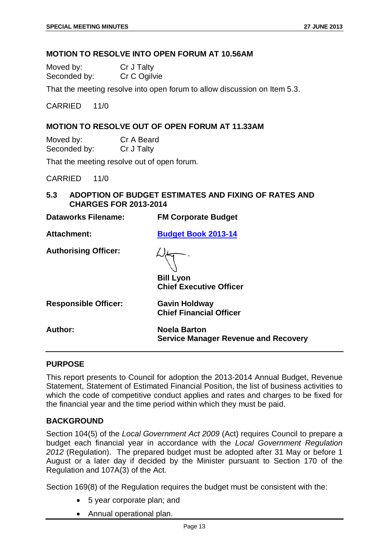# **MOTION TO RESOLVE INTO OPEN FORUM AT 10.56AM**

| Moved by:    | Cr J Talty   |
|--------------|--------------|
| Seconded by: | Cr C Ogilvie |

That the meeting resolve into open forum to allow discussion on Item 5.3.

CARRIED 11/0

# **MOTION TO RESOLVE OUT OF OPEN FORUM AT 11.33AM**

Moved by: Cr A Beard Seconded by: Cr J Talty

That the meeting resolve out of open forum.

CARRIED 11/0

<span id="page-13-0"></span>**5.3 ADOPTION OF BUDGET ESTIMATES AND FIXING OF RATES AND CHARGES FOR 2013-2014**

| <b>Dataworks Filename:</b>  | <b>FM Corporate Budget</b>                                         |
|-----------------------------|--------------------------------------------------------------------|
| Attachment:                 | <b>Budget Book 2013-14</b>                                         |
| <b>Authorising Officer:</b> | <b>Bill Lyon</b><br><b>Chief Executive Officer</b>                 |
| <b>Responsible Officer:</b> | <b>Gavin Holdway</b><br><b>Chief Financial Officer</b>             |
| Author:                     | <b>Noela Barton</b><br><b>Service Manager Revenue and Recovery</b> |
|                             |                                                                    |

#### **PURPOSE**

This report presents to Council for adoption the 2013-2014 Annual Budget, Revenue Statement, Statement of Estimated Financial Position, the list of business activities to which the code of competitive conduct applies and rates and charges to be fixed for the financial year and the time period within which they must be paid.

# **BACKGROUND**

Section 104(5) of the *Local Government Act 2009* (Act) requires Council to prepare a budget each financial year in accordance with the *Local Government Regulation 2012* (Regulation). The prepared budget must be adopted after 31 May or before 1 August or a later day if decided by the Minister pursuant to Section 170 of the Regulation and 107A(3) of the Act.

Section 169(8) of the Regulation requires the budget must be consistent with the:

- 5 year corporate plan; and
- Annual operational plan.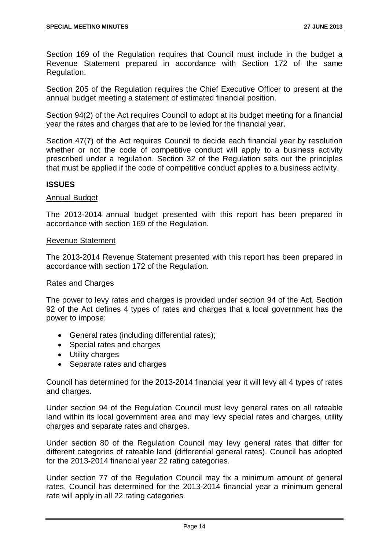Section 169 of the Regulation requires that Council must include in the budget a Revenue Statement prepared in accordance with Section 172 of the same Regulation.

Section 205 of the Regulation requires the Chief Executive Officer to present at the annual budget meeting a statement of estimated financial position.

Section 94(2) of the Act requires Council to adopt at its budget meeting for a financial year the rates and charges that are to be levied for the financial year.

Section 47(7) of the Act requires Council to decide each financial year by resolution whether or not the code of competitive conduct will apply to a business activity prescribed under a regulation. Section 32 of the Regulation sets out the principles that must be applied if the code of competitive conduct applies to a business activity.

# **ISSUES**

# Annual Budget

The 2013-2014 annual budget presented with this report has been prepared in accordance with section 169 of the Regulation.

# Revenue Statement

The 2013-2014 Revenue Statement presented with this report has been prepared in accordance with section 172 of the Regulation.

# Rates and Charges

The power to levy rates and charges is provided under section 94 of the Act. Section 92 of the Act defines 4 types of rates and charges that a local government has the power to impose:

- General rates (including differential rates);
- Special rates and charges
- Utility charges
- Separate rates and charges

Council has determined for the 2013-2014 financial year it will levy all 4 types of rates and charges.

Under section 94 of the Regulation Council must levy general rates on all rateable land within its local government area and may levy special rates and charges, utility charges and separate rates and charges.

Under section 80 of the Regulation Council may levy general rates that differ for different categories of rateable land (differential general rates). Council has adopted for the 2013-2014 financial year 22 rating categories.

Under section 77 of the Regulation Council may fix a minimum amount of general rates. Council has determined for the 2013-2014 financial year a minimum general rate will apply in all 22 rating categories.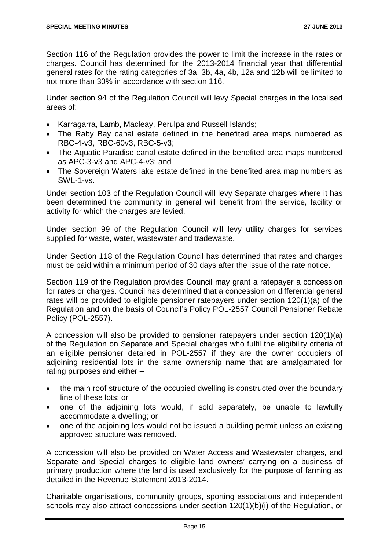Section 116 of the Regulation provides the power to limit the increase in the rates or charges. Council has determined for the 2013-2014 financial year that differential general rates for the rating categories of 3a, 3b, 4a, 4b, 12a and 12b will be limited to not more than 30% in accordance with section 116.

Under section 94 of the Regulation Council will levy Special charges in the localised areas of:

- Karragarra, Lamb, Macleay, Perulpa and Russell Islands;
- The Raby Bay canal estate defined in the benefited area maps numbered as RBC-4-v3, RBC-60v3, RBC-5-v3;
- The Aquatic Paradise canal estate defined in the benefited area maps numbered as APC-3-v3 and APC-4-v3; and
- The Sovereign Waters lake estate defined in the benefited area map numbers as SWL-1-vs.

Under section 103 of the Regulation Council will levy Separate charges where it has been determined the community in general will benefit from the service, facility or activity for which the charges are levied.

Under section 99 of the Regulation Council will levy utility charges for services supplied for waste, water, wastewater and tradewaste.

Under Section 118 of the Regulation Council has determined that rates and charges must be paid within a minimum period of 30 days after the issue of the rate notice.

Section 119 of the Regulation provides Council may grant a ratepayer a concession for rates or charges. Council has determined that a concession on differential general rates will be provided to eligible pensioner ratepayers under section 120(1)(a) of the Regulation and on the basis of Council's Policy POL-2557 Council Pensioner Rebate Policy (POL-2557).

A concession will also be provided to pensioner ratepayers under section 120(1)(a) of the Regulation on Separate and Special charges who fulfil the eligibility criteria of an eligible pensioner detailed in POL-2557 if they are the owner occupiers of adjoining residential lots in the same ownership name that are amalgamated for rating purposes and either –

- the main roof structure of the occupied dwelling is constructed over the boundary line of these lots; or
- one of the adjoining lots would, if sold separately, be unable to lawfully accommodate a dwelling; or
- one of the adjoining lots would not be issued a building permit unless an existing approved structure was removed.

A concession will also be provided on Water Access and Wastewater charges, and Separate and Special charges to eligible land owners' carrying on a business of primary production where the land is used exclusively for the purpose of farming as detailed in the Revenue Statement 2013-2014.

Charitable organisations, community groups, sporting associations and independent schools may also attract concessions under section 120(1)(b)(i) of the Regulation, or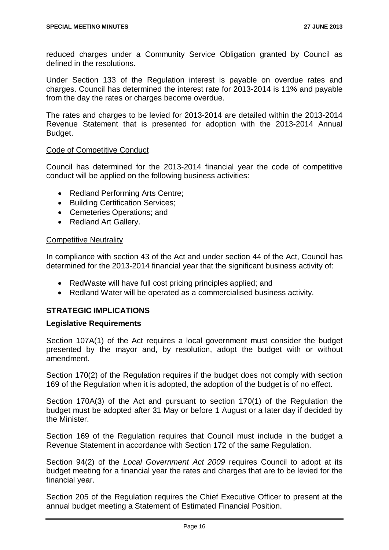reduced charges under a Community Service Obligation granted by Council as defined in the resolutions.

Under Section 133 of the Regulation interest is payable on overdue rates and charges. Council has determined the interest rate for 2013-2014 is 11% and payable from the day the rates or charges become overdue.

The rates and charges to be levied for 2013-2014 are detailed within the 2013-2014 Revenue Statement that is presented for adoption with the 2013-2014 Annual Budget.

# Code of Competitive Conduct

Council has determined for the 2013-2014 financial year the code of competitive conduct will be applied on the following business activities:

- Redland Performing Arts Centre;
- Building Certification Services;
- Cemeteries Operations; and
- Redland Art Gallery.

#### Competitive Neutrality

In compliance with section 43 of the Act and under section 44 of the Act, Council has determined for the 2013-2014 financial year that the significant business activity of:

- RedWaste will have full cost pricing principles applied; and
- Redland Water will be operated as a commercialised business activity.

# **STRATEGIC IMPLICATIONS**

# **Legislative Requirements**

Section 107A(1) of the Act requires a local government must consider the budget presented by the mayor and, by resolution, adopt the budget with or without amendment.

Section 170(2) of the Regulation requires if the budget does not comply with section 169 of the Regulation when it is adopted, the adoption of the budget is of no effect.

Section 170A(3) of the Act and pursuant to section 170(1) of the Regulation the budget must be adopted after 31 May or before 1 August or a later day if decided by the Minister.

Section 169 of the Regulation requires that Council must include in the budget a Revenue Statement in accordance with Section 172 of the same Regulation.

Section 94(2) of the *Local Government Act 2009* requires Council to adopt at its budget meeting for a financial year the rates and charges that are to be levied for the financial year.

Section 205 of the Regulation requires the Chief Executive Officer to present at the annual budget meeting a Statement of Estimated Financial Position.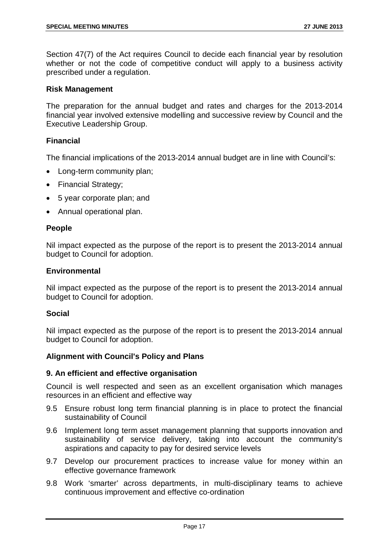Section 47(7) of the Act requires Council to decide each financial year by resolution whether or not the code of competitive conduct will apply to a business activity prescribed under a regulation.

# **Risk Management**

The preparation for the annual budget and rates and charges for the 2013-2014 financial year involved extensive modelling and successive review by Council and the Executive Leadership Group.

# **Financial**

The financial implications of the 2013-2014 annual budget are in line with Council's:

- Long-term community plan;
- Financial Strategy;
- 5 year corporate plan; and
- Annual operational plan.

# **People**

Nil impact expected as the purpose of the report is to present the 2013-2014 annual budget to Council for adoption.

#### **Environmental**

Nil impact expected as the purpose of the report is to present the 2013-2014 annual budget to Council for adoption.

# **Social**

Nil impact expected as the purpose of the report is to present the 2013-2014 annual budget to Council for adoption.

# **Alignment with Council's Policy and Plans**

# **9. An efficient and effective organisation**

Council is well respected and seen as an excellent organisation which manages resources in an efficient and effective way

- 9.5 Ensure robust long term financial planning is in place to protect the financial sustainability of Council
- 9.6 Implement long term asset management planning that supports innovation and sustainability of service delivery, taking into account the community's aspirations and capacity to pay for desired service levels
- 9.7 Develop our procurement practices to increase value for money within an effective governance framework
- 9.8 Work 'smarter' across departments, in multi-disciplinary teams to achieve continuous improvement and effective co-ordination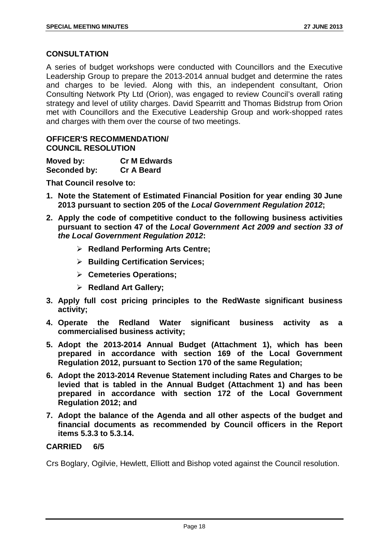# **CONSULTATION**

A series of budget workshops were conducted with Councillors and the Executive Leadership Group to prepare the 2013-2014 annual budget and determine the rates and charges to be levied. Along with this, an independent consultant, Orion Consulting Network Pty Ltd (Orion), was engaged to review Council's overall rating strategy and level of utility charges. David Spearritt and Thomas Bidstrup from Orion met with Councillors and the Executive Leadership Group and work-shopped rates and charges with them over the course of two meetings.

# **OFFICER'S RECOMMENDATION/ COUNCIL RESOLUTION**

| Moved by:    | <b>Cr M Edwards</b> |
|--------------|---------------------|
| Seconded by: | <b>Cr A Beard</b>   |

**That Council resolve to:**

- **1. Note the Statement of Estimated Financial Position for year ending 30 June 2013 pursuant to section 205 of the** *Local Government Regulation 2012***;**
- **2. Apply the code of competitive conduct to the following business activities pursuant to section 47 of the** *Local Government Act 2009 and section 33 of the Local Government Regulation 2012***:**
	- **Redland Performing Arts Centre;**
	- **Building Certification Services;**
	- **Cemeteries Operations;**
	- **Redland Art Gallery;**
- **3. Apply full cost pricing principles to the RedWaste significant business activity;**
- **4. Operate the Redland Water significant business activity as a commercialised business activity;**
- **5. Adopt the 2013-2014 Annual Budget (Attachment 1), which has been prepared in accordance with section 169 of the Local Government Regulation 2012, pursuant to Section 170 of the same Regulation;**
- **6. Adopt the 2013-2014 Revenue Statement including Rates and Charges to be levied that is tabled in the Annual Budget (Attachment 1) and has been prepared in accordance with section 172 of the Local Government Regulation 2012; and**
- **7. Adopt the balance of the Agenda and all other aspects of the budget and financial documents as recommended by Council officers in the Report items 5.3.3 to 5.3.14.**

# **CARRIED 6/5**

Crs Boglary, Ogilvie, Hewlett, Elliott and Bishop voted against the Council resolution.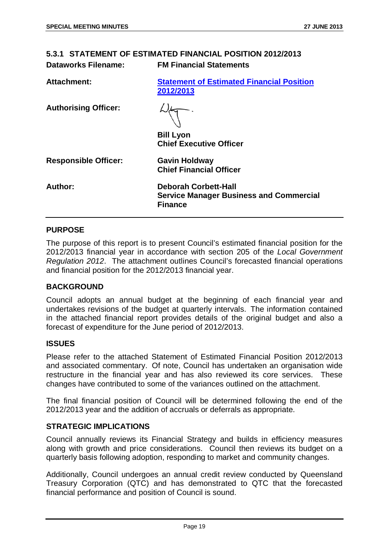<span id="page-19-0"></span>

| <b>Dataworks Filename:</b>  | 5.3.1 STATEMENT OF ESTIMATED FINANCIAL POSITION 2012/2013<br><b>FM Financial Statements</b>     |
|-----------------------------|-------------------------------------------------------------------------------------------------|
| Attachment:                 | <b>Statement of Estimated Financial Position</b><br>2012/2013                                   |
| <b>Authorising Officer:</b> | <b>Bill Lyon</b><br><b>Chief Executive Officer</b>                                              |
| <b>Responsible Officer:</b> | <b>Gavin Holdway</b><br><b>Chief Financial Officer</b>                                          |
| Author:                     | <b>Deborah Corbett-Hall</b><br><b>Service Manager Business and Commercial</b><br><b>Finance</b> |

# **PURPOSE**

The purpose of this report is to present Council's estimated financial position for the 2012/2013 financial year in accordance with section 205 of the *Local Government Regulation 2012*. The attachment outlines Council's forecasted financial operations and financial position for the 2012/2013 financial year.

# **BACKGROUND**

Council adopts an annual budget at the beginning of each financial year and undertakes revisions of the budget at quarterly intervals. The information contained in the attached financial report provides details of the original budget and also a forecast of expenditure for the June period of 2012/2013.

# **ISSUES**

Please refer to the attached Statement of Estimated Financial Position 2012/2013 and associated commentary. Of note, Council has undertaken an organisation wide restructure in the financial year and has also reviewed its core services. These changes have contributed to some of the variances outlined on the attachment.

The final financial position of Council will be determined following the end of the 2012/2013 year and the addition of accruals or deferrals as appropriate.

# **STRATEGIC IMPLICATIONS**

Council annually reviews its Financial Strategy and builds in efficiency measures along with growth and price considerations. Council then reviews its budget on a quarterly basis following adoption, responding to market and community changes.

Additionally, Council undergoes an annual credit review conducted by Queensland Treasury Corporation (QTC) and has demonstrated to QTC that the forecasted financial performance and position of Council is sound.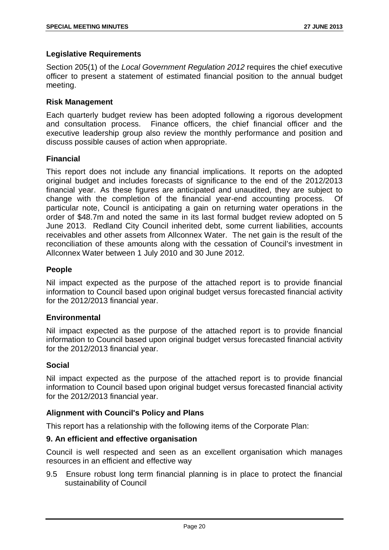# **Legislative Requirements**

Section 205(1) of the *Local Government Regulation 2012* requires the chief executive officer to present a statement of estimated financial position to the annual budget meeting.

# **Risk Management**

Each quarterly budget review has been adopted following a rigorous development and consultation process. Finance officers, the chief financial officer and the executive leadership group also review the monthly performance and position and discuss possible causes of action when appropriate.

# **Financial**

This report does not include any financial implications. It reports on the adopted original budget and includes forecasts of significance to the end of the 2012/2013 financial year. As these figures are anticipated and unaudited, they are subject to change with the completion of the financial year-end accounting process. Of particular note, Council is anticipating a gain on returning water operations in the order of \$48.7m and noted the same in its last formal budget review adopted on 5 June 2013. Redland City Council inherited debt, some current liabilities, accounts receivables and other assets from Allconnex Water. The net gain is the result of the reconciliation of these amounts along with the cessation of Council's investment in Allconnex Water between 1 July 2010 and 30 June 2012.

# **People**

Nil impact expected as the purpose of the attached report is to provide financial information to Council based upon original budget versus forecasted financial activity for the 2012/2013 financial year.

# **Environmental**

Nil impact expected as the purpose of the attached report is to provide financial information to Council based upon original budget versus forecasted financial activity for the 2012/2013 financial year.

# **Social**

Nil impact expected as the purpose of the attached report is to provide financial information to Council based upon original budget versus forecasted financial activity for the 2012/2013 financial year.

# **Alignment with Council's Policy and Plans**

This report has a relationship with the following items of the Corporate Plan:

# **9. An efficient and effective organisation**

Council is well respected and seen as an excellent organisation which manages resources in an efficient and effective way

9.5 Ensure robust long term financial planning is in place to protect the financial sustainability of Council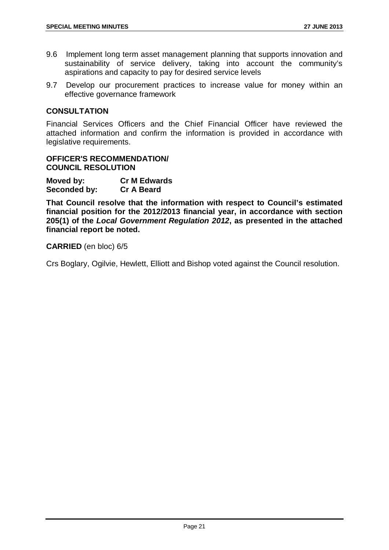- 9.6 Implement long term asset management planning that supports innovation and sustainability of service delivery, taking into account the community's aspirations and capacity to pay for desired service levels
- 9.7 Develop our procurement practices to increase value for money within an effective governance framework

# **CONSULTATION**

Financial Services Officers and the Chief Financial Officer have reviewed the attached information and confirm the information is provided in accordance with legislative requirements.

# **OFFICER'S RECOMMENDATION/ COUNCIL RESOLUTION**

| Moved by:    | <b>Cr M Edwards</b> |
|--------------|---------------------|
| Seconded by: | <b>Cr A Beard</b>   |

**That Council resolve that the information with respect to Council's estimated financial position for the 2012/2013 financial year, in accordance with section 205(1) of the** *Local Government Regulation 2012***, as presented in the attached financial report be noted.**

# **CARRIED** (en bloc) 6/5

Crs Boglary, Ogilvie, Hewlett, Elliott and Bishop voted against the Council resolution.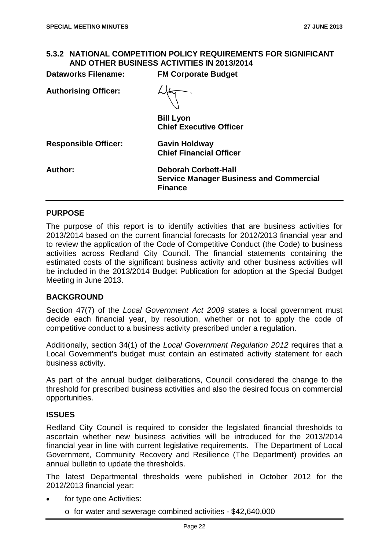# <span id="page-22-0"></span>**5.3.2 NATIONAL COMPETITION POLICY REQUIREMENTS FOR SIGNIFICANT AND OTHER BUSINESS ACTIVITIES IN 2013/2014**

| <b>Dataworks Filename:</b>  | <b>FM Corporate Budget</b>                                                                      |
|-----------------------------|-------------------------------------------------------------------------------------------------|
| <b>Authorising Officer:</b> |                                                                                                 |
|                             | <b>Bill Lyon</b><br><b>Chief Executive Officer</b>                                              |
| <b>Responsible Officer:</b> | <b>Gavin Holdway</b><br><b>Chief Financial Officer</b>                                          |
| Author:                     | <b>Deborah Corbett-Hall</b><br><b>Service Manager Business and Commercial</b><br><b>Finance</b> |

# **PURPOSE**

The purpose of this report is to identify activities that are business activities for 2013/2014 based on the current financial forecasts for 2012/2013 financial year and to review the application of the Code of Competitive Conduct (the Code) to business activities across Redland City Council. The financial statements containing the estimated costs of the significant business activity and other business activities will be included in the 2013/2014 Budget Publication for adoption at the Special Budget Meeting in June 2013.

# **BACKGROUND**

Section 47(7) of the *Local Government Act 2009* states a local government must decide each financial year, by resolution, whether or not to apply the code of competitive conduct to a business activity prescribed under a regulation.

Additionally, section 34(1) of the *Local Government Regulation 2012* requires that a Local Government's budget must contain an estimated activity statement for each business activity.

As part of the annual budget deliberations, Council considered the change to the threshold for prescribed business activities and also the desired focus on commercial opportunities.

# **ISSUES**

Redland City Council is required to consider the legislated financial thresholds to ascertain whether new business activities will be introduced for the 2013/2014 financial year in line with current legislative requirements. The Department of Local Government, Community Recovery and Resilience (The Department) provides an annual bulletin to update the thresholds.

The latest Departmental thresholds were published in October 2012 for the 2012/2013 financial year:

- for type one Activities:
	- o for water and sewerage combined activities \$42,640,000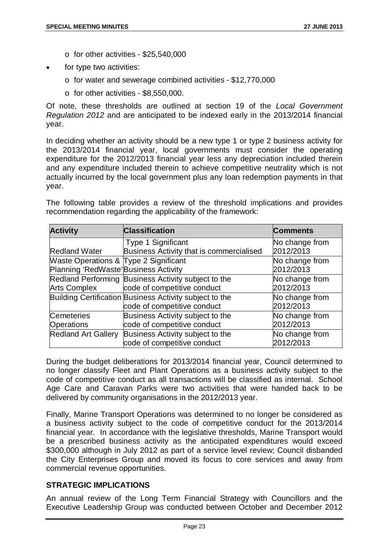- o for other activities \$25,540,000
- for type two activities:
	- o for water and sewerage combined activities \$12,770,000
	- $\circ$  for other activities \$8,550,000.

Of note, these thresholds are outlined at section 19 of the *Local Government Regulation 2012* and are anticipated to be indexed early in the 2013/2014 financial year.

In deciding whether an activity should be a new type 1 or type 2 business activity for the 2013/2014 financial year, local governments must consider the operating expenditure for the 2012/2013 financial year less any depreciation included therein and any expenditure included therein to achieve competitive neutrality which is not actually incurred by the local government plus any loan redemption payments in that year.

The following table provides a review of the threshold implications and provides recommendation regarding the applicability of the framework:

| <b>Activity</b>                       | <b>Classification</b>                                   | <b>Comments</b> |
|---------------------------------------|---------------------------------------------------------|-----------------|
|                                       | <b>Type 1 Significant</b>                               | No change from  |
| <b>Redland Water</b>                  | Business Activity that is commercialised                | 2012/2013       |
| Waste Operations & Type 2 Significant |                                                         | No change from  |
| Planning 'RedWaste' Business Activity |                                                         | 2012/2013       |
|                                       | Redland Performing Business Activity subject to the     | No change from  |
| <b>Arts Complex</b>                   | code of competitive conduct                             | 2012/2013       |
|                                       | Building Certification Business Activity subject to the | No change from  |
|                                       | code of competitive conduct                             | 2012/2013       |
| <b>Cemeteries</b>                     | Business Activity subject to the                        | No change from  |
| <b>Operations</b>                     | code of competitive conduct                             | 2012/2013       |
| <b>Redland Art Gallery</b>            | Business Activity subject to the                        | No change from  |
|                                       | code of competitive conduct                             | 2012/2013       |

During the budget deliberations for 2013/2014 financial year, Council determined to no longer classify Fleet and Plant Operations as a business activity subject to the code of competitive conduct as all transactions will be classified as internal. School Age Care and Caravan Parks were two activities that were handed back to be delivered by community organisations in the 2012/2013 year.

Finally, Marine Transport Operations was determined to no longer be considered as a business activity subject to the code of competitive conduct for the 2013/2014 financial year. In accordance with the legislative thresholds, Marine Transport would be a prescribed business activity as the anticipated expenditures would exceed \$300,000 although in July 2012 as part of a service level review; Council disbanded the City Enterprises Group and moved its focus to core services and away from commercial revenue opportunities.

# **STRATEGIC IMPLICATIONS**

An annual review of the Long Term Financial Strategy with Councillors and the Executive Leadership Group was conducted between October and December 2012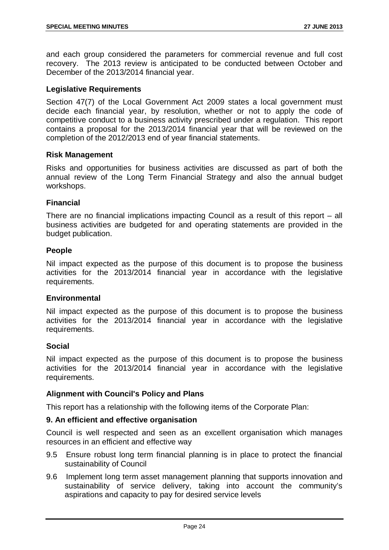and each group considered the parameters for commercial revenue and full cost recovery. The 2013 review is anticipated to be conducted between October and December of the 2013/2014 financial year.

# **Legislative Requirements**

Section 47(7) of the Local Government Act 2009 states a local government must decide each financial year, by resolution, whether or not to apply the code of competitive conduct to a business activity prescribed under a regulation. This report contains a proposal for the 2013/2014 financial year that will be reviewed on the completion of the 2012/2013 end of year financial statements.

# **Risk Management**

Risks and opportunities for business activities are discussed as part of both the annual review of the Long Term Financial Strategy and also the annual budget workshops.

# **Financial**

There are no financial implications impacting Council as a result of this report – all business activities are budgeted for and operating statements are provided in the budget publication.

#### **People**

Nil impact expected as the purpose of this document is to propose the business activities for the 2013/2014 financial year in accordance with the legislative requirements.

# **Environmental**

Nil impact expected as the purpose of this document is to propose the business activities for the 2013/2014 financial year in accordance with the legislative requirements.

# **Social**

Nil impact expected as the purpose of this document is to propose the business activities for the 2013/2014 financial year in accordance with the legislative requirements.

# **Alignment with Council's Policy and Plans**

This report has a relationship with the following items of the Corporate Plan:

# **9. An efficient and effective organisation**

Council is well respected and seen as an excellent organisation which manages resources in an efficient and effective way

- 9.5 Ensure robust long term financial planning is in place to protect the financial sustainability of Council
- 9.6 Implement long term asset management planning that supports innovation and sustainability of service delivery, taking into account the community's aspirations and capacity to pay for desired service levels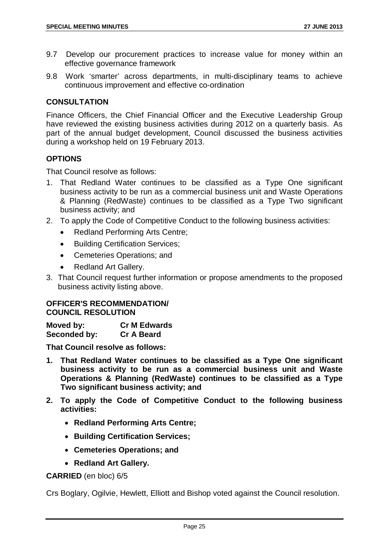- 9.7 Develop our procurement practices to increase value for money within an effective governance framework
- 9.8 Work 'smarter' across departments, in multi-disciplinary teams to achieve continuous improvement and effective co-ordination

# **CONSULTATION**

Finance Officers, the Chief Financial Officer and the Executive Leadership Group have reviewed the existing business activities during 2012 on a quarterly basis. As part of the annual budget development, Council discussed the business activities during a workshop held on 19 February 2013.

# **OPTIONS**

That Council resolve as follows:

- 1. That Redland Water continues to be classified as a Type One significant business activity to be run as a commercial business unit and Waste Operations & Planning (RedWaste) continues to be classified as a Type Two significant business activity; and
- 2. To apply the Code of Competitive Conduct to the following business activities:
	- Redland Performing Arts Centre;
	- Building Certification Services;
	- Cemeteries Operations; and
	- Redland Art Gallery.
- 3. That Council request further information or propose amendments to the proposed business activity listing above.

# **OFFICER'S RECOMMENDATION/ COUNCIL RESOLUTION**

| Moved by:    | <b>Cr M Edwards</b> |
|--------------|---------------------|
| Seconded by: | <b>Cr A Beard</b>   |

**That Council resolve as follows:**

- **1. That Redland Water continues to be classified as a Type One significant business activity to be run as a commercial business unit and Waste Operations & Planning (RedWaste) continues to be classified as a Type Two significant business activity; and**
- **2. To apply the Code of Competitive Conduct to the following business activities:**
	- **Redland Performing Arts Centre;**
	- **Building Certification Services;**
	- **Cemeteries Operations; and**
	- **Redland Art Gallery.**

# **CARRIED** (en bloc) 6/5

Crs Boglary, Ogilvie, Hewlett, Elliott and Bishop voted against the Council resolution.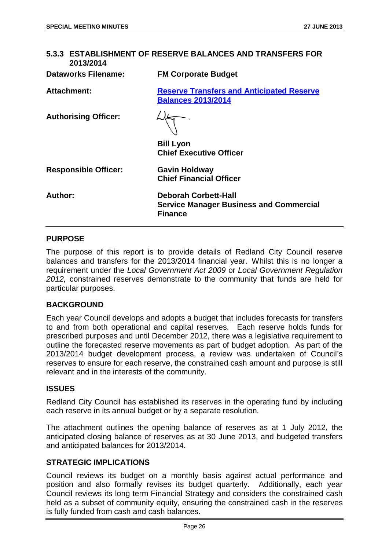<span id="page-26-0"></span>

| 5.3.3 ESTABLISHMENT OF RESERVE BALANCES AND TRANSFERS FOR<br>2013/2014 |                                                                                                 |  |
|------------------------------------------------------------------------|-------------------------------------------------------------------------------------------------|--|
| Dataworks Filename:                                                    | <b>FM Corporate Budget</b>                                                                      |  |
| <b>Attachment:</b>                                                     | <b>Reserve Transfers and Anticipated Reserve</b><br><b>Balances 2013/2014</b>                   |  |
| <b>Authorising Officer:</b>                                            |                                                                                                 |  |
|                                                                        | <b>Bill Lyon</b><br><b>Chief Executive Officer</b>                                              |  |
| <b>Responsible Officer:</b>                                            | <b>Gavin Holdway</b><br><b>Chief Financial Officer</b>                                          |  |
| <b>Author:</b>                                                         | <b>Deborah Corbett-Hall</b><br><b>Service Manager Business and Commercial</b><br><b>Finance</b> |  |

# **PURPOSE**

The purpose of this report is to provide details of Redland City Council reserve balances and transfers for the 2013/2014 financial year. Whilst this is no longer a requirement under the *Local Government Act 2009* or *Local Government Regulation 2012,* constrained reserves demonstrate to the community that funds are held for particular purposes.

# **BACKGROUND**

Each year Council develops and adopts a budget that includes forecasts for transfers to and from both operational and capital reserves. Each reserve holds funds for prescribed purposes and until December 2012, there was a legislative requirement to outline the forecasted reserve movements as part of budget adoption. As part of the 2013/2014 budget development process, a review was undertaken of Council's reserves to ensure for each reserve, the constrained cash amount and purpose is still relevant and in the interests of the community.

#### **ISSUES**

Redland City Council has established its reserves in the operating fund by including each reserve in its annual budget or by a separate resolution.

The attachment outlines the opening balance of reserves as at 1 July 2012, the anticipated closing balance of reserves as at 30 June 2013, and budgeted transfers and anticipated balances for 2013/2014.

# **STRATEGIC IMPLICATIONS**

Council reviews its budget on a monthly basis against actual performance and position and also formally revises its budget quarterly. Additionally, each year Council reviews its long term Financial Strategy and considers the constrained cash held as a subset of community equity, ensuring the constrained cash in the reserves is fully funded from cash and cash balances.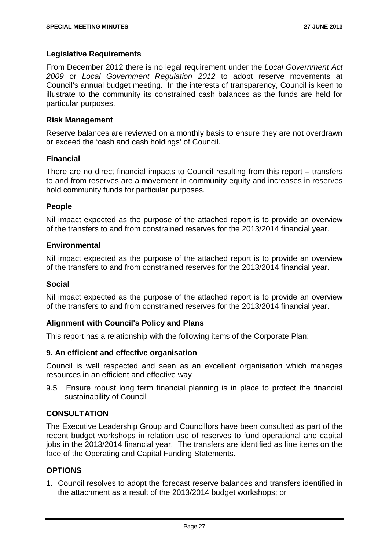# **Legislative Requirements**

From December 2012 there is no legal requirement under the *Local Government Act 2009* or *Local Government Regulation 2012* to adopt reserve movements at Council's annual budget meeting. In the interests of transparency, Council is keen to illustrate to the community its constrained cash balances as the funds are held for particular purposes.

# **Risk Management**

Reserve balances are reviewed on a monthly basis to ensure they are not overdrawn or exceed the 'cash and cash holdings' of Council.

# **Financial**

There are no direct financial impacts to Council resulting from this report – transfers to and from reserves are a movement in community equity and increases in reserves hold community funds for particular purposes.

# **People**

Nil impact expected as the purpose of the attached report is to provide an overview of the transfers to and from constrained reserves for the 2013/2014 financial year.

# **Environmental**

Nil impact expected as the purpose of the attached report is to provide an overview of the transfers to and from constrained reserves for the 2013/2014 financial year.

# **Social**

Nil impact expected as the purpose of the attached report is to provide an overview of the transfers to and from constrained reserves for the 2013/2014 financial year.

# **Alignment with Council's Policy and Plans**

This report has a relationship with the following items of the Corporate Plan:

# **9. An efficient and effective organisation**

Council is well respected and seen as an excellent organisation which manages resources in an efficient and effective way

9.5 Ensure robust long term financial planning is in place to protect the financial sustainability of Council

# **CONSULTATION**

The Executive Leadership Group and Councillors have been consulted as part of the recent budget workshops in relation use of reserves to fund operational and capital jobs in the 2013/2014 financial year. The transfers are identified as line items on the face of the Operating and Capital Funding Statements.

# **OPTIONS**

1. Council resolves to adopt the forecast reserve balances and transfers identified in the attachment as a result of the 2013/2014 budget workshops; or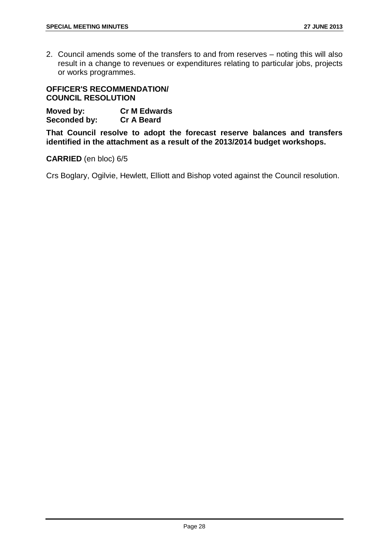2. Council amends some of the transfers to and from reserves – noting this will also result in a change to revenues or expenditures relating to particular jobs, projects or works programmes.

# **OFFICER'S RECOMMENDATION/ COUNCIL RESOLUTION**

**Moved by: Cr M Edwards Seconded by:** 

**That Council resolve to adopt the forecast reserve balances and transfers identified in the attachment as a result of the 2013/2014 budget workshops.**

# **CARRIED** (en bloc) 6/5

Crs Boglary, Ogilvie, Hewlett, Elliott and Bishop voted against the Council resolution.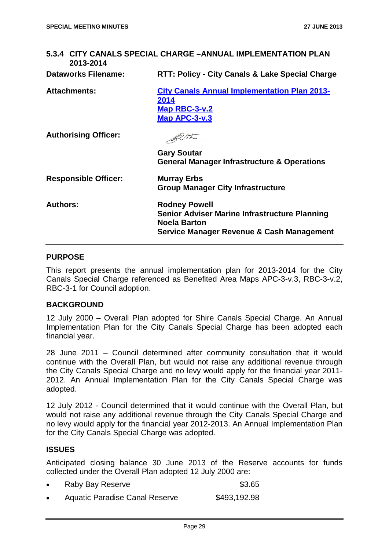# <span id="page-29-0"></span>**5.3.4 CITY CANALS SPECIAL CHARGE –ANNUAL IMPLEMENTATION PLAN 2013-2014 Dataworks Filename: RTT: Policy - City Canals & Lake Special Charge Attachments: City Canals Annual Implementation Plan 2013- 2014 Map RBC-3-v.2 Map APC-3-v.3** BUSK **Authorising Officer: Gary Soutar General Manager Infrastructure & Operations Responsible Officer: Murray Erbs Group Manager City Infrastructure Authors: Rodney Powell Senior Adviser Marine Infrastructure Planning Noela Barton Service Manager Revenue & Cash Management**

# **PURPOSE**

This report presents the annual implementation plan for 2013-2014 for the City Canals Special Charge referenced as Benefited Area Maps APC-3-v.3, RBC-3-v.2, RBC-3-1 for Council adoption.

# **BACKGROUND**

12 July 2000 – Overall Plan adopted for Shire Canals Special Charge. An Annual Implementation Plan for the City Canals Special Charge has been adopted each financial year.

28 June 2011 – Council determined after community consultation that it would continue with the Overall Plan, but would not raise any additional revenue through the City Canals Special Charge and no levy would apply for the financial year 2011- 2012. An Annual Implementation Plan for the City Canals Special Charge was adopted.

12 July 2012 - Council determined that it would continue with the Overall Plan, but would not raise any additional revenue through the City Canals Special Charge and no levy would apply for the financial year 2012-2013. An Annual Implementation Plan for the City Canals Special Charge was adopted.

# **ISSUES**

Anticipated closing balance 30 June 2013 of the Reserve accounts for funds collected under the Overall Plan adopted 12 July 2000 are:

| Raby Bay Reserve               | \$3.65       |
|--------------------------------|--------------|
| Aquatic Paradise Canal Reserve | \$493,192.98 |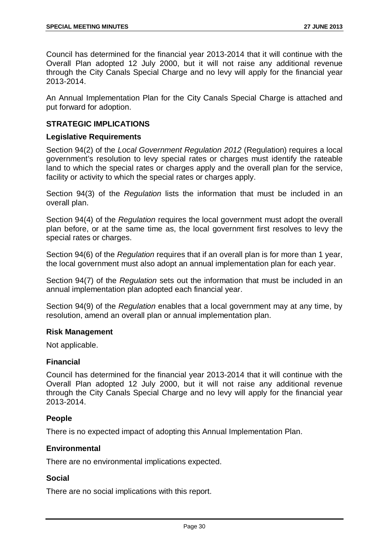Council has determined for the financial year 2013-2014 that it will continue with the Overall Plan adopted 12 July 2000, but it will not raise any additional revenue through the City Canals Special Charge and no levy will apply for the financial year 2013-2014.

An Annual Implementation Plan for the City Canals Special Charge is attached and put forward for adoption.

# **STRATEGIC IMPLICATIONS**

# **Legislative Requirements**

Section 94(2) of the *Local Government Regulation 2012* (Regulation) requires a local government's resolution to levy special rates or charges must identify the rateable land to which the special rates or charges apply and the overall plan for the service, facility or activity to which the special rates or charges apply.

Section 94(3) of the *Regulation* lists the information that must be included in an overall plan.

Section 94(4) of the *Regulation* requires the local government must adopt the overall plan before, or at the same time as, the local government first resolves to levy the special rates or charges.

Section 94(6) of the *Regulation* requires that if an overall plan is for more than 1 year, the local government must also adopt an annual implementation plan for each year.

Section 94(7) of the *Regulation* sets out the information that must be included in an annual implementation plan adopted each financial year.

Section 94(9) of the *Regulation* enables that a local government may at any time, by resolution, amend an overall plan or annual implementation plan.

#### **Risk Management**

Not applicable.

# **Financial**

Council has determined for the financial year 2013-2014 that it will continue with the Overall Plan adopted 12 July 2000, but it will not raise any additional revenue through the City Canals Special Charge and no levy will apply for the financial year 2013-2014.

# **People**

There is no expected impact of adopting this Annual Implementation Plan.

# **Environmental**

There are no environmental implications expected.

# **Social**

There are no social implications with this report.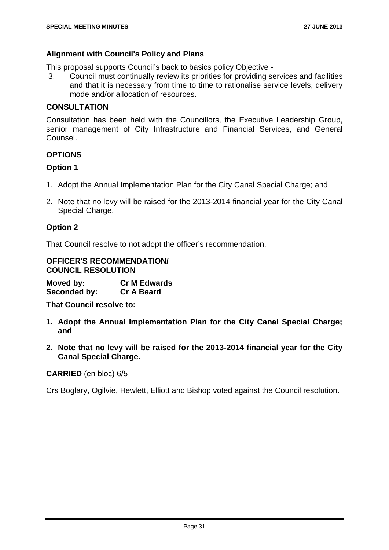# **Alignment with Council's Policy and Plans**

This proposal supports Council's back to basics policy Objective -

3. Council must continually review its priorities for providing services and facilities and that it is necessary from time to time to rationalise service levels, delivery mode and/or allocation of resources.

# **CONSULTATION**

Consultation has been held with the Councillors, the Executive Leadership Group, senior management of City Infrastructure and Financial Services, and General Counsel.

# **OPTIONS**

# **Option 1**

- 1. Adopt the Annual Implementation Plan for the City Canal Special Charge; and
- 2. Note that no levy will be raised for the 2013-2014 financial year for the City Canal Special Charge.

# **Option 2**

That Council resolve to not adopt the officer's recommendation.

**OFFICER'S RECOMMENDATION/ COUNCIL RESOLUTION**

**Moved by: Cr M Edwards Seconded by: Cr A Beard**

**That Council resolve to:**

- **1. Adopt the Annual Implementation Plan for the City Canal Special Charge; and**
- **2. Note that no levy will be raised for the 2013-2014 financial year for the City Canal Special Charge.**

# **CARRIED** (en bloc) 6/5

Crs Boglary, Ogilvie, Hewlett, Elliott and Bishop voted against the Council resolution.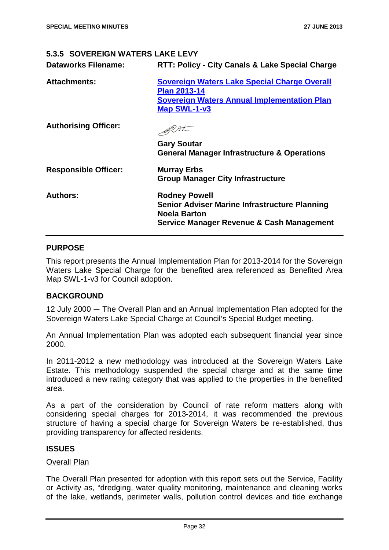# <span id="page-32-0"></span>**5.3.5 SOVEREIGN WATERS LAKE LEVY**

| <b>Dataworks Filename:</b> | <b>RTT: Policy - City Canals &amp; Lake Special Charge</b> |
|----------------------------|------------------------------------------------------------|
|                            |                                                            |

| <b>Attachments:</b>         | Sovereign Waters Lake Special Charge Overall<br><b>Plan 2013-14</b><br><b>Sovereign Waters Annual Implementation Plan</b><br><b>Map SWL-1-v3</b> |
|-----------------------------|--------------------------------------------------------------------------------------------------------------------------------------------------|
| <b>Authorising Officer:</b> |                                                                                                                                                  |
|                             | <b>Gary Soutar</b><br><b>General Manager Infrastructure &amp; Operations</b>                                                                     |
| <b>Responsible Officer:</b> | <b>Murray Erbs</b><br><b>Group Manager City Infrastructure</b>                                                                                   |
| <b>Authors:</b>             | <b>Rodney Powell</b><br><b>Senior Adviser Marine Infrastructure Planning</b><br><b>Noela Barton</b><br>Service Manager Revenue & Cash Management |

# **PURPOSE**

This report presents the Annual Implementation Plan for 2013-2014 for the Sovereign Waters Lake Special Charge for the benefited area referenced as Benefited Area Map SWL-1-v3 for Council adoption.

# **BACKGROUND**

12 July 2000 ― The Overall Plan and an Annual Implementation Plan adopted for the Sovereign Waters Lake Special Charge at Council's Special Budget meeting.

An Annual Implementation Plan was adopted each subsequent financial year since 2000.

In 2011-2012 a new methodology was introduced at the Sovereign Waters Lake Estate. This methodology suspended the special charge and at the same time introduced a new rating category that was applied to the properties in the benefited area.

As a part of the consideration by Council of rate reform matters along with considering special charges for 2013-2014, it was recommended the previous structure of having a special charge for Sovereign Waters be re-established, thus providing transparency for affected residents.

# **ISSUES**

#### Overall Plan

The Overall Plan presented for adoption with this report sets out the Service, Facility or Activity as, "dredging, water quality monitoring, maintenance and cleaning works of the lake, wetlands, perimeter walls, pollution control devices and tide exchange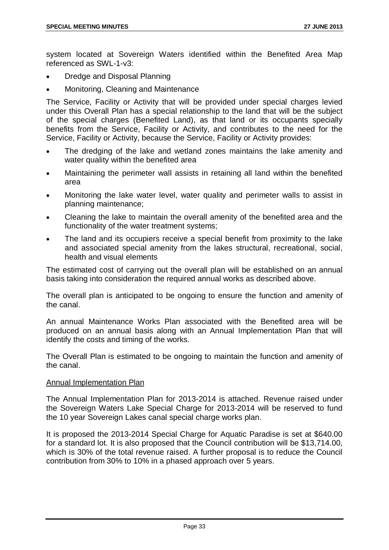system located at Sovereign Waters identified within the Benefited Area Map referenced as SWL-1-v3:

- Dredge and Disposal Planning
- Monitoring, Cleaning and Maintenance

The Service, Facility or Activity that will be provided under special charges levied under this Overall Plan has a special relationship to the land that will be the subject of the special charges (Benefited Land), as that land or its occupants specially benefits from the Service, Facility or Activity, and contributes to the need for the Service, Facility or Activity, because the Service, Facility or Activity provides:

- The dredging of the lake and wetland zones maintains the lake amenity and water quality within the benefited area
- Maintaining the perimeter wall assists in retaining all land within the benefited area
- Monitoring the lake water level, water quality and perimeter walls to assist in planning maintenance;
- Cleaning the lake to maintain the overall amenity of the benefited area and the functionality of the water treatment systems;
- The land and its occupiers receive a special benefit from proximity to the lake and associated special amenity from the lakes structural, recreational, social, health and visual elements

The estimated cost of carrying out the overall plan will be established on an annual basis taking into consideration the required annual works as described above.

The overall plan is anticipated to be ongoing to ensure the function and amenity of the canal.

An annual Maintenance Works Plan associated with the Benefited area will be produced on an annual basis along with an Annual Implementation Plan that will identify the costs and timing of the works.

The Overall Plan is estimated to be ongoing to maintain the function and amenity of the canal.

# Annual Implementation Plan

The Annual Implementation Plan for 2013-2014 is attached. Revenue raised under the Sovereign Waters Lake Special Charge for 2013-2014 will be reserved to fund the 10 year Sovereign Lakes canal special charge works plan.

It is proposed the 2013-2014 Special Charge for Aquatic Paradise is set at \$640.00 for a standard lot. It is also proposed that the Council contribution will be \$13,714.00, which is 30% of the total revenue raised. A further proposal is to reduce the Council contribution from 30% to 10% in a phased approach over 5 years.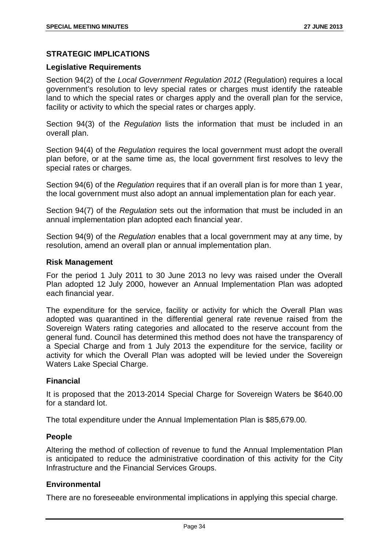# **STRATEGIC IMPLICATIONS**

# **Legislative Requirements**

Section 94(2) of the *Local Government Regulation 2012* (Regulation) requires a local government's resolution to levy special rates or charges must identify the rateable land to which the special rates or charges apply and the overall plan for the service, facility or activity to which the special rates or charges apply.

Section 94(3) of the *Regulation* lists the information that must be included in an overall plan.

Section 94(4) of the *Regulation* requires the local government must adopt the overall plan before, or at the same time as, the local government first resolves to levy the special rates or charges.

Section 94(6) of the *Regulation* requires that if an overall plan is for more than 1 year, the local government must also adopt an annual implementation plan for each year.

Section 94(7) of the *Regulation* sets out the information that must be included in an annual implementation plan adopted each financial year.

Section 94(9) of the *Regulation* enables that a local government may at any time, by resolution, amend an overall plan or annual implementation plan.

#### **Risk Management**

For the period 1 July 2011 to 30 June 2013 no levy was raised under the Overall Plan adopted 12 July 2000, however an Annual Implementation Plan was adopted each financial year.

The expenditure for the service, facility or activity for which the Overall Plan was adopted was quarantined in the differential general rate revenue raised from the Sovereign Waters rating categories and allocated to the reserve account from the general fund. Council has determined this method does not have the transparency of a Special Charge and from 1 July 2013 the expenditure for the service, facility or activity for which the Overall Plan was adopted will be levied under the Sovereign Waters Lake Special Charge.

# **Financial**

It is proposed that the 2013-2014 Special Charge for Sovereign Waters be \$640.00 for a standard lot.

The total expenditure under the Annual Implementation Plan is \$85,679.00.

# **People**

Altering the method of collection of revenue to fund the Annual Implementation Plan is anticipated to reduce the administrative coordination of this activity for the City Infrastructure and the Financial Services Groups.

# **Environmental**

There are no foreseeable environmental implications in applying this special charge.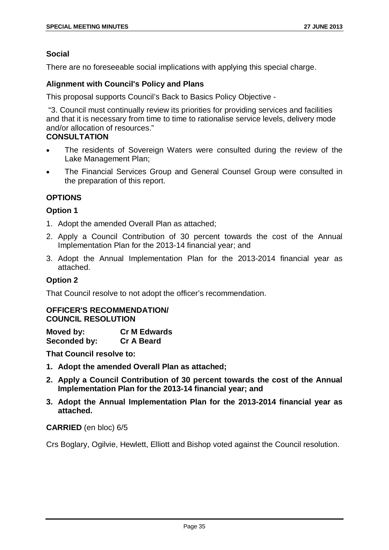# **Social**

There are no foreseeable social implications with applying this special charge.

# **Alignment with Council's Policy and Plans**

This proposal supports Council's Back to Basics Policy Objective -

"3. Council must continually review its priorities for providing services and facilities and that it is necessary from time to time to rationalise service levels, delivery mode and/or allocation of resources."

# **CONSULTATION**

- The residents of Sovereign Waters were consulted during the review of the Lake Management Plan;
- The Financial Services Group and General Counsel Group were consulted in the preparation of this report.

# **OPTIONS**

# **Option 1**

- 1. Adopt the amended Overall Plan as attached;
- 2. Apply a Council Contribution of 30 percent towards the cost of the Annual Implementation Plan for the 2013-14 financial year; and
- 3. Adopt the Annual Implementation Plan for the 2013-2014 financial year as attached.

# **Option 2**

That Council resolve to not adopt the officer's recommendation.

# **OFFICER'S RECOMMENDATION/ COUNCIL RESOLUTION**

**Moved by: Cr M Edwards Seconded by: Cr A Beard**

**That Council resolve to:**

- **1. Adopt the amended Overall Plan as attached;**
- **2. Apply a Council Contribution of 30 percent towards the cost of the Annual Implementation Plan for the 2013-14 financial year; and**
- **3. Adopt the Annual Implementation Plan for the 2013-2014 financial year as attached.**

# **CARRIED** (en bloc) 6/5

Crs Boglary, Ogilvie, Hewlett, Elliott and Bishop voted against the Council resolution.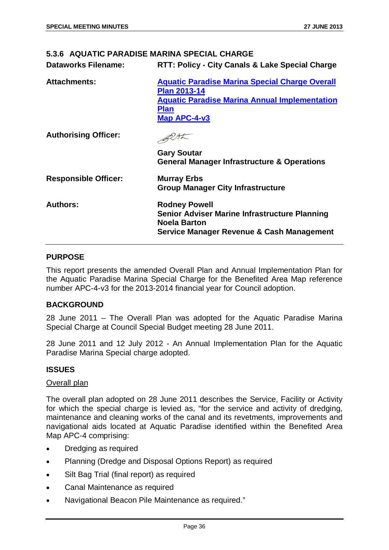## **5.3.6 AQUATIC PARADISE MARINA SPECIAL CHARGE**

| <b>Dataworks Filename:</b> | <b>RTT: Policy - City Canals &amp; Lake Special Charge</b> |
|----------------------------|------------------------------------------------------------|
|----------------------------|------------------------------------------------------------|

| <b>Attachments:</b>         | <b>Aquatic Paradise Marina Special Charge Overall</b><br><b>Plan 2013-14</b><br><b>Aquatic Paradise Marina Annual Implementation</b><br><b>Plan</b><br>Map APC-4-v3 |
|-----------------------------|---------------------------------------------------------------------------------------------------------------------------------------------------------------------|
| <b>Authorising Officer:</b> | <b>Gary Soutar</b>                                                                                                                                                  |
|                             | <b>General Manager Infrastructure &amp; Operations</b>                                                                                                              |
| <b>Responsible Officer:</b> | <b>Murray Erbs</b><br><b>Group Manager City Infrastructure</b>                                                                                                      |
| <b>Authors:</b>             | <b>Rodney Powell</b><br><b>Senior Adviser Marine Infrastructure Planning</b><br><b>Noela Barton</b><br>Service Manager Revenue & Cash Management                    |

## **PURPOSE**

This report presents the amended Overall Plan and Annual Implementation Plan for the Aquatic Paradise Marina Special Charge for the Benefited Area Map reference number APC-4-v3 for the 2013-2014 financial year for Council adoption.

#### **BACKGROUND**

28 June 2011 – The Overall Plan was adopted for the Aquatic Paradise Marina Special Charge at Council Special Budget meeting 28 June 2011.

28 June 2011 and 12 July 2012 - An Annual Implementation Plan for the Aquatic Paradise Marina Special charge adopted.

#### **ISSUES**

#### Overall plan

The overall plan adopted on 28 June 2011 describes the Service, Facility or Activity for which the special charge is levied as, "for the service and activity of dredging, maintenance and cleaning works of the canal and its revetments, improvements and navigational aids located at Aquatic Paradise identified within the Benefited Area Map APC-4 comprising:

- Dredging as required
- Planning (Dredge and Disposal Options Report) as required
- Silt Bag Trial (final report) as required
- Canal Maintenance as required
- Navigational Beacon Pile Maintenance as required."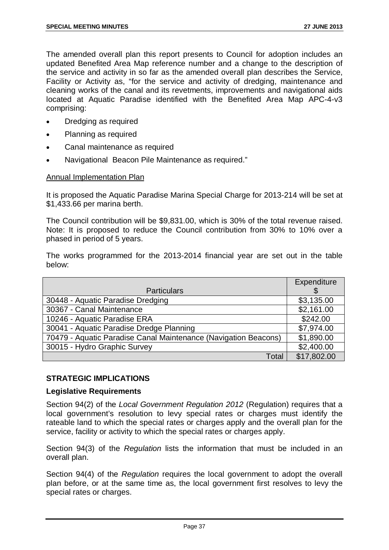The amended overall plan this report presents to Council for adoption includes an updated Benefited Area Map reference number and a change to the description of the service and activity in so far as the amended overall plan describes the Service, Facility or Activity as, "for the service and activity of dredging, maintenance and cleaning works of the canal and its revetments, improvements and navigational aids located at Aquatic Paradise identified with the Benefited Area Map APC-4-v3 comprising:

- Dredging as required
- Planning as required
- Canal maintenance as required
- Navigational Beacon Pile Maintenance as required."

#### Annual Implementation Plan

It is proposed the Aquatic Paradise Marina Special Charge for 2013-214 will be set at \$1,433.66 per marina berth.

The Council contribution will be \$9,831.00, which is 30% of the total revenue raised. Note: It is proposed to reduce the Council contribution from 30% to 10% over a phased in period of 5 years.

The works programmed for the 2013-2014 financial year are set out in the table below:

|                                                                 | Expenditure |
|-----------------------------------------------------------------|-------------|
| <b>Particulars</b>                                              |             |
| 30448 - Aquatic Paradise Dredging                               | \$3,135.00  |
| 30367 - Canal Maintenance                                       | \$2,161.00  |
| 10246 - Aquatic Paradise ERA                                    | \$242.00    |
| 30041 - Aquatic Paradise Dredge Planning                        | \$7,974.00  |
| 70479 - Aquatic Paradise Canal Maintenance (Navigation Beacons) | \$1,890.00  |
| 30015 - Hydro Graphic Survey                                    | \$2,400.00  |
| Total                                                           | \$17,802.00 |

#### **STRATEGIC IMPLICATIONS**

#### **Legislative Requirements**

Section 94(2) of the *Local Government Regulation 2012* (Regulation) requires that a local government's resolution to levy special rates or charges must identify the rateable land to which the special rates or charges apply and the overall plan for the service, facility or activity to which the special rates or charges apply.

Section 94(3) of the *Regulation* lists the information that must be included in an overall plan.

Section 94(4) of the *Regulation* requires the local government to adopt the overall plan before, or at the same time as, the local government first resolves to levy the special rates or charges.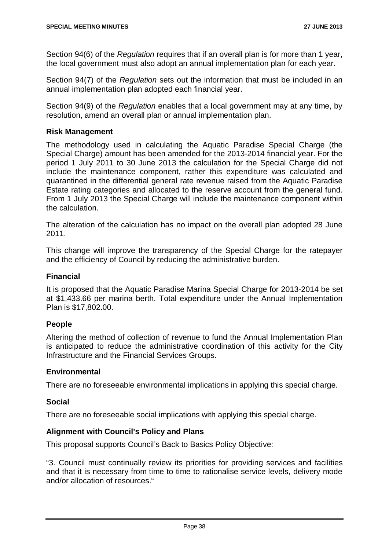Section 94(6) of the *Regulation* requires that if an overall plan is for more than 1 year, the local government must also adopt an annual implementation plan for each year.

Section 94(7) of the *Regulation* sets out the information that must be included in an annual implementation plan adopted each financial year.

Section 94(9) of the *Regulation* enables that a local government may at any time, by resolution, amend an overall plan or annual implementation plan.

## **Risk Management**

The methodology used in calculating the Aquatic Paradise Special Charge (the Special Charge) amount has been amended for the 2013-2014 financial year. For the period 1 July 2011 to 30 June 2013 the calculation for the Special Charge did not include the maintenance component, rather this expenditure was calculated and quarantined in the differential general rate revenue raised from the Aquatic Paradise Estate rating categories and allocated to the reserve account from the general fund. From 1 July 2013 the Special Charge will include the maintenance component within the calculation.

The alteration of the calculation has no impact on the overall plan adopted 28 June 2011.

This change will improve the transparency of the Special Charge for the ratepayer and the efficiency of Council by reducing the administrative burden.

#### **Financial**

It is proposed that the Aquatic Paradise Marina Special Charge for 2013-2014 be set at \$1,433.66 per marina berth. Total expenditure under the Annual Implementation Plan is \$17,802.00.

## **People**

Altering the method of collection of revenue to fund the Annual Implementation Plan is anticipated to reduce the administrative coordination of this activity for the City Infrastructure and the Financial Services Groups.

#### **Environmental**

There are no foreseeable environmental implications in applying this special charge.

#### **Social**

There are no foreseeable social implications with applying this special charge.

#### **Alignment with Council's Policy and Plans**

This proposal supports Council's Back to Basics Policy Objective:

"3. Council must continually review its priorities for providing services and facilities and that it is necessary from time to time to rationalise service levels, delivery mode and/or allocation of resources."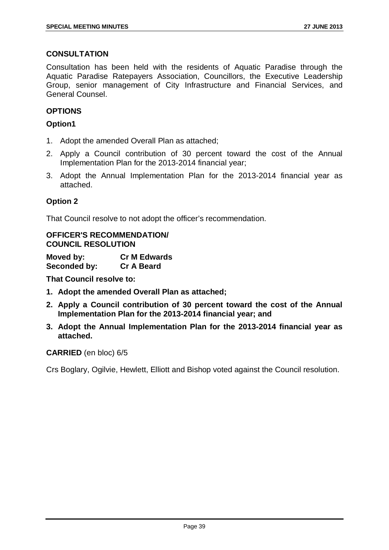## **CONSULTATION**

Consultation has been held with the residents of Aquatic Paradise through the Aquatic Paradise Ratepayers Association, Councillors, the Executive Leadership Group, senior management of City Infrastructure and Financial Services, and General Counsel.

## **OPTIONS**

## **Option1**

- 1. Adopt the amended Overall Plan as attached;
- 2. Apply a Council contribution of 30 percent toward the cost of the Annual Implementation Plan for the 2013-2014 financial year;
- 3. Adopt the Annual Implementation Plan for the 2013-2014 financial year as attached.

## **Option 2**

That Council resolve to not adopt the officer's recommendation.

## **OFFICER'S RECOMMENDATION/ COUNCIL RESOLUTION**

**Moved by: Cr M Edwards Seconded by: Cr A Beard**

**That Council resolve to:**

- **1. Adopt the amended Overall Plan as attached;**
- **2. Apply a Council contribution of 30 percent toward the cost of the Annual Implementation Plan for the 2013-2014 financial year; and**
- **3. Adopt the Annual Implementation Plan for the 2013-2014 financial year as attached.**

#### **CARRIED** (en bloc) 6/5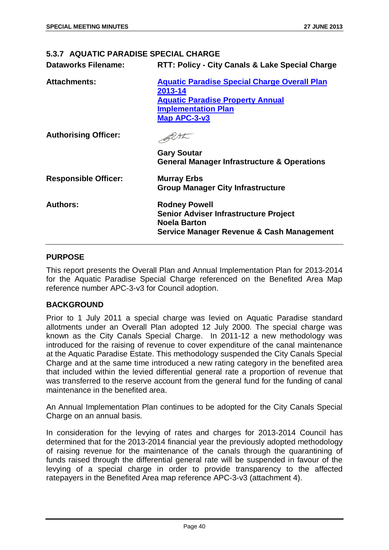## **5.3.7 AQUATIC PARADISE SPECIAL CHARGE**

| <b>Dataworks Filename:</b> | <b>RTT: Policy - City Canals &amp; Lake Special Charge</b> |
|----------------------------|------------------------------------------------------------|
|                            |                                                            |

| <b>Attachments:</b>         | <b>Aquatic Paradise Special Charge Overall Plan</b><br>2013-14<br><b>Aquatic Paradise Property Annual</b><br><b>Implementation Plan</b><br>Map APC-3-v3 |  |
|-----------------------------|---------------------------------------------------------------------------------------------------------------------------------------------------------|--|
| <b>Authorising Officer:</b> |                                                                                                                                                         |  |
|                             | <b>Gary Soutar</b><br><b>General Manager Infrastructure &amp; Operations</b>                                                                            |  |
| <b>Responsible Officer:</b> | <b>Murray Erbs</b><br><b>Group Manager City Infrastructure</b>                                                                                          |  |
| <b>Authors:</b>             | <b>Rodney Powell</b><br><b>Senior Adviser Infrastructure Project</b><br><b>Noela Barton</b><br>Service Manager Revenue & Cash Management                |  |

## **PURPOSE**

This report presents the Overall Plan and Annual Implementation Plan for 2013-2014 for the Aquatic Paradise Special Charge referenced on the Benefited Area Map reference number APC-3-v3 for Council adoption.

#### **BACKGROUND**

Prior to 1 July 2011 a special charge was levied on Aquatic Paradise standard allotments under an Overall Plan adopted 12 July 2000. The special charge was known as the City Canals Special Charge. In 2011-12 a new methodology was introduced for the raising of revenue to cover expenditure of the canal maintenance at the Aquatic Paradise Estate. This methodology suspended the City Canals Special Charge and at the same time introduced a new rating category in the benefited area that included within the levied differential general rate a proportion of revenue that was transferred to the reserve account from the general fund for the funding of canal maintenance in the benefited area.

An Annual Implementation Plan continues to be adopted for the City Canals Special Charge on an annual basis.

In consideration for the levying of rates and charges for 2013-2014 Council has determined that for the 2013-2014 financial year the previously adopted methodology of raising revenue for the maintenance of the canals through the quarantining of funds raised through the differential general rate will be suspended in favour of the levying of a special charge in order to provide transparency to the affected ratepayers in the Benefited Area map reference APC-3-v3 (attachment 4).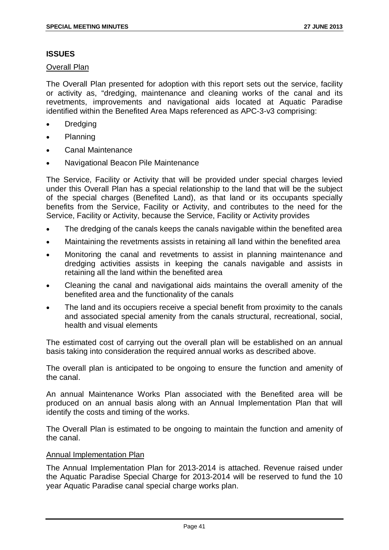## **ISSUES**

Overall Plan

The Overall Plan presented for adoption with this report sets out the service, facility or activity as, "dredging, maintenance and cleaning works of the canal and its revetments, improvements and navigational aids located at Aquatic Paradise identified within the Benefited Area Maps referenced as APC-3-v3 comprising:

- **Dredging**
- Planning
- Canal Maintenance
- Navigational Beacon Pile Maintenance

The Service, Facility or Activity that will be provided under special charges levied under this Overall Plan has a special relationship to the land that will be the subject of the special charges (Benefited Land), as that land or its occupants specially benefits from the Service, Facility or Activity, and contributes to the need for the Service, Facility or Activity, because the Service, Facility or Activity provides

- The dredging of the canals keeps the canals navigable within the benefited area
- Maintaining the revetments assists in retaining all land within the benefited area
- Monitoring the canal and revetments to assist in planning maintenance and dredging activities assists in keeping the canals navigable and assists in retaining all the land within the benefited area
- Cleaning the canal and navigational aids maintains the overall amenity of the benefited area and the functionality of the canals
- The land and its occupiers receive a special benefit from proximity to the canals and associated special amenity from the canals structural, recreational, social, health and visual elements

The estimated cost of carrying out the overall plan will be established on an annual basis taking into consideration the required annual works as described above.

The overall plan is anticipated to be ongoing to ensure the function and amenity of the canal.

An annual Maintenance Works Plan associated with the Benefited area will be produced on an annual basis along with an Annual Implementation Plan that will identify the costs and timing of the works.

The Overall Plan is estimated to be ongoing to maintain the function and amenity of the canal.

#### Annual Implementation Plan

The Annual Implementation Plan for 2013-2014 is attached. Revenue raised under the Aquatic Paradise Special Charge for 2013-2014 will be reserved to fund the 10 year Aquatic Paradise canal special charge works plan.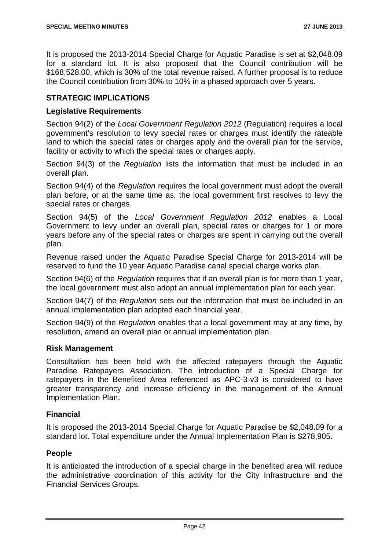It is proposed the 2013-2014 Special Charge for Aquatic Paradise is set at \$2,048.09 for a standard lot. It is also proposed that the Council contribution will be \$168,528.00, which is 30% of the total revenue raised. A further proposal is to reduce the Council contribution from 30% to 10% in a phased approach over 5 years.

## **STRATEGIC IMPLICATIONS**

## **Legislative Requirements**

Section 94(2) of the *Local Government Regulation 2012* (Regulation) requires a local government's resolution to levy special rates or charges must identify the rateable land to which the special rates or charges apply and the overall plan for the service, facility or activity to which the special rates or charges apply.

Section 94(3) of the *Regulation* lists the information that must be included in an overall plan.

Section 94(4) of the *Regulation* requires the local government must adopt the overall plan before, or at the same time as, the local government first resolves to levy the special rates or charges.

Section 94(5) of the *Local Government Regulation 2012* enables a Local Government to levy under an overall plan, special rates or charges for 1 or more years before any of the special rates or charges are spent in carrying out the overall plan.

Revenue raised under the Aquatic Paradise Special Charge for 2013-2014 will be reserved to fund the 10 year Aquatic Paradise canal special charge works plan.

Section 94(6) of the *Regulation* requires that if an overall plan is for more than 1 year, the local government must also adopt an annual implementation plan for each year.

Section 94(7) of the *Regulation* sets out the information that must be included in an annual implementation plan adopted each financial year.

Section 94(9) of the *Regulation* enables that a local government may at any time, by resolution, amend an overall plan or annual implementation plan.

#### **Risk Management**

Consultation has been held with the affected ratepayers through the Aquatic Paradise Ratepayers Association. The introduction of a Special Charge for ratepayers in the Benefited Area referenced as APC-3-v3 is considered to have greater transparency and increase efficiency in the management of the Annual Implementation Plan.

#### **Financial**

It is proposed the 2013-2014 Special Charge for Aquatic Paradise be \$2,048.09 for a standard lot. Total expenditure under the Annual Implementation Plan is \$278,905.

## **People**

It is anticipated the introduction of a special charge in the benefited area will reduce the administrative coordination of this activity for the City Infrastructure and the Financial Services Groups.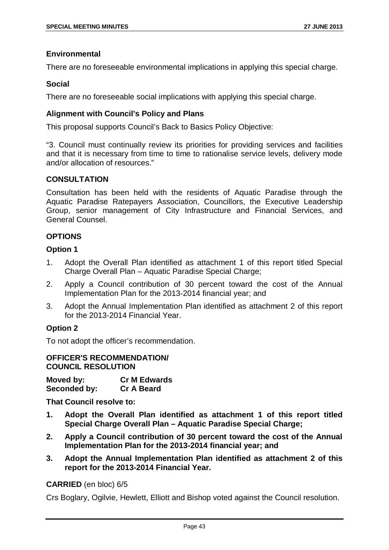## **Environmental**

There are no foreseeable environmental implications in applying this special charge.

## **Social**

There are no foreseeable social implications with applying this special charge.

## **Alignment with Council's Policy and Plans**

This proposal supports Council's Back to Basics Policy Objective:

"3. Council must continually review its priorities for providing services and facilities and that it is necessary from time to time to rationalise service levels, delivery mode and/or allocation of resources."

## **CONSULTATION**

Consultation has been held with the residents of Aquatic Paradise through the Aquatic Paradise Ratepayers Association, Councillors, the Executive Leadership Group, senior management of City Infrastructure and Financial Services, and General Counsel.

## **OPTIONS**

## **Option 1**

- 1. Adopt the Overall Plan identified as attachment 1 of this report titled Special Charge Overall Plan – Aquatic Paradise Special Charge;
- 2. Apply a Council contribution of 30 percent toward the cost of the Annual Implementation Plan for the 2013-2014 financial year; and
- 3. Adopt the Annual Implementation Plan identified as attachment 2 of this report for the 2013-2014 Financial Year.

## **Option 2**

To not adopt the officer's recommendation.

#### **OFFICER'S RECOMMENDATION/ COUNCIL RESOLUTION**

**Moved by: Cr M Edwards Seconded by: Cr A Beard**

**That Council resolve to:**

- **1. Adopt the Overall Plan identified as attachment 1 of this report titled Special Charge Overall Plan – Aquatic Paradise Special Charge;**
- **2. Apply a Council contribution of 30 percent toward the cost of the Annual Implementation Plan for the 2013-2014 financial year; and**
- **3. Adopt the Annual Implementation Plan identified as attachment 2 of this report for the 2013-2014 Financial Year.**

## **CARRIED** (en bloc) 6/5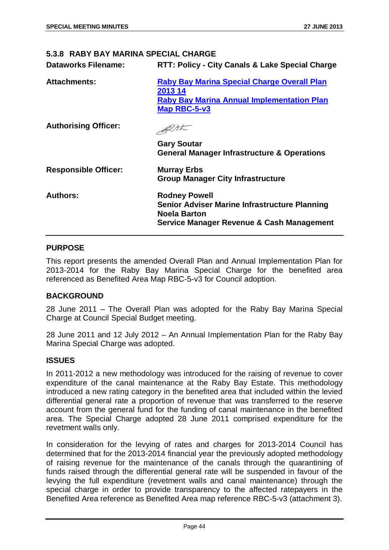## **5.3.8 RABY BAY MARINA SPECIAL CHARGE**

| <b>Dataworks Filename:</b>  | RTT: Policy - City Canals & Lake Special Charge                                                                                                  |
|-----------------------------|--------------------------------------------------------------------------------------------------------------------------------------------------|
| <b>Attachments:</b>         | <b>Raby Bay Marina Special Charge Overall Plan</b><br>2013 14<br><b>Raby Bay Marina Annual Implementation Plan</b><br>Map RBC-5-v3               |
| <b>Authorising Officer:</b> | <b>Gary Soutar</b><br><b>General Manager Infrastructure &amp; Operations</b>                                                                     |
| <b>Responsible Officer:</b> | <b>Murray Erbs</b><br><b>Group Manager City Infrastructure</b>                                                                                   |
| <b>Authors:</b>             | <b>Rodney Powell</b><br><b>Senior Adviser Marine Infrastructure Planning</b><br><b>Noela Barton</b><br>Service Manager Revenue & Cash Management |

## **PURPOSE**

This report presents the amended Overall Plan and Annual Implementation Plan for 2013-2014 for the Raby Bay Marina Special Charge for the benefited area referenced as Benefited Area Map RBC-5-v3 for Council adoption.

#### **BACKGROUND**

28 June 2011 – The Overall Plan was adopted for the Raby Bay Marina Special Charge at Council Special Budget meeting.

28 June 2011 and 12 July 2012 – An Annual Implementation Plan for the Raby Bay Marina Special Charge was adopted.

#### **ISSUES**

In 2011-2012 a new methodology was introduced for the raising of revenue to cover expenditure of the canal maintenance at the Raby Bay Estate. This methodology introduced a new rating category in the benefited area that included within the levied differential general rate a proportion of revenue that was transferred to the reserve account from the general fund for the funding of canal maintenance in the benefited area. The Special Charge adopted 28 June 2011 comprised expenditure for the revetment walls only.

In consideration for the levying of rates and charges for 2013-2014 Council has determined that for the 2013-2014 financial year the previously adopted methodology of raising revenue for the maintenance of the canals through the quarantining of funds raised through the differential general rate will be suspended in favour of the levying the full expenditure (revetment walls and canal maintenance) through the special charge in order to provide transparency to the affected ratepayers in the Benefited Area reference as Benefited Area map reference RBC-5-v3 (attachment 3).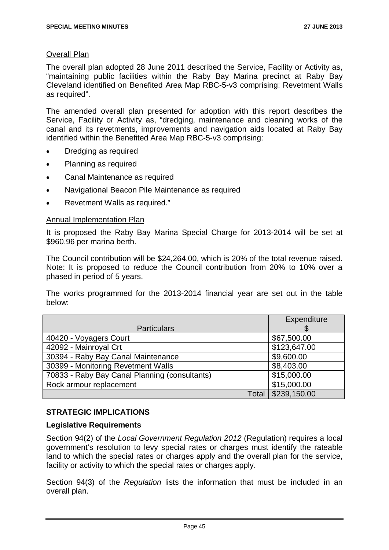## Overall Plan

The overall plan adopted 28 June 2011 described the Service, Facility or Activity as, "maintaining public facilities within the Raby Bay Marina precinct at Raby Bay Cleveland identified on Benefited Area Map RBC-5-v3 comprising: Revetment Walls as required".

The amended overall plan presented for adoption with this report describes the Service, Facility or Activity as, "dredging, maintenance and cleaning works of the canal and its revetments, improvements and navigation aids located at Raby Bay identified within the Benefited Area Map RBC-5-v3 comprising:

- Dredging as required
- Planning as required
- Canal Maintenance as required
- Navigational Beacon Pile Maintenance as required
- Revetment Walls as required."

#### Annual Implementation Plan

It is proposed the Raby Bay Marina Special Charge for 2013-2014 will be set at \$960.96 per marina berth.

The Council contribution will be \$24,264.00, which is 20% of the total revenue raised. Note: It is proposed to reduce the Council contribution from 20% to 10% over a phased in period of 5 years.

The works programmed for the 2013-2014 financial year are set out in the table below:

|                                               | Expenditure  |
|-----------------------------------------------|--------------|
| <b>Particulars</b>                            |              |
| 40420 - Voyagers Court                        | \$67,500.00  |
| 42092 - Mainroyal Crt                         | \$123,647.00 |
| 30394 - Raby Bay Canal Maintenance            | \$9,600.00   |
| 30399 - Monitoring Revetment Walls            | \$8,403.00   |
| 70833 - Raby Bay Canal Planning (consultants) | \$15,000.00  |
| Rock armour replacement                       | \$15,000.00  |
| Total                                         | \$239,150.00 |

#### **STRATEGIC IMPLICATIONS**

#### **Legislative Requirements**

Section 94(2) of the *Local Government Regulation 2012* (Regulation) requires a local government's resolution to levy special rates or charges must identify the rateable land to which the special rates or charges apply and the overall plan for the service, facility or activity to which the special rates or charges apply.

Section 94(3) of the *Regulation* lists the information that must be included in an overall plan.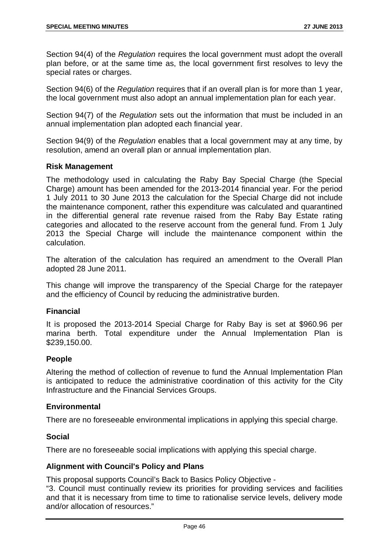Section 94(4) of the *Regulation* requires the local government must adopt the overall plan before, or at the same time as, the local government first resolves to levy the special rates or charges.

Section 94(6) of the *Regulation* requires that if an overall plan is for more than 1 year, the local government must also adopt an annual implementation plan for each year.

Section 94(7) of the *Regulation* sets out the information that must be included in an annual implementation plan adopted each financial year.

Section 94(9) of the *Regulation* enables that a local government may at any time, by resolution, amend an overall plan or annual implementation plan.

## **Risk Management**

The methodology used in calculating the Raby Bay Special Charge (the Special Charge) amount has been amended for the 2013-2014 financial year. For the period 1 July 2011 to 30 June 2013 the calculation for the Special Charge did not include the maintenance component, rather this expenditure was calculated and quarantined in the differential general rate revenue raised from the Raby Bay Estate rating categories and allocated to the reserve account from the general fund. From 1 July 2013 the Special Charge will include the maintenance component within the calculation.

The alteration of the calculation has required an amendment to the Overall Plan adopted 28 June 2011.

This change will improve the transparency of the Special Charge for the ratepayer and the efficiency of Council by reducing the administrative burden.

#### **Financial**

It is proposed the 2013-2014 Special Charge for Raby Bay is set at \$960.96 per marina berth. Total expenditure under the Annual Implementation Plan is \$239,150.00.

#### **People**

Altering the method of collection of revenue to fund the Annual Implementation Plan is anticipated to reduce the administrative coordination of this activity for the City Infrastructure and the Financial Services Groups.

#### **Environmental**

There are no foreseeable environmental implications in applying this special charge.

#### **Social**

There are no foreseeable social implications with applying this special charge.

#### **Alignment with Council's Policy and Plans**

This proposal supports Council's Back to Basics Policy Objective -

"3. Council must continually review its priorities for providing services and facilities and that it is necessary from time to time to rationalise service levels, delivery mode and/or allocation of resources."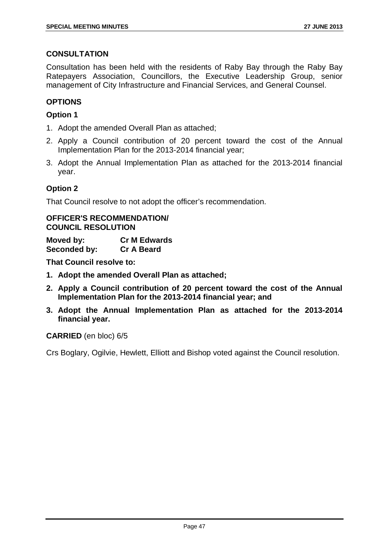## **CONSULTATION**

Consultation has been held with the residents of Raby Bay through the Raby Bay Ratepayers Association, Councillors, the Executive Leadership Group, senior management of City Infrastructure and Financial Services, and General Counsel.

## **OPTIONS**

## **Option 1**

- 1. Adopt the amended Overall Plan as attached;
- 2. Apply a Council contribution of 20 percent toward the cost of the Annual Implementation Plan for the 2013-2014 financial year;
- 3. Adopt the Annual Implementation Plan as attached for the 2013-2014 financial year.

## **Option 2**

That Council resolve to not adopt the officer's recommendation.

## **OFFICER'S RECOMMENDATION/ COUNCIL RESOLUTION**

**Moved by: Cr M Edwards Seconded by:** 

**That Council resolve to:**

- **1. Adopt the amended Overall Plan as attached;**
- **2. Apply a Council contribution of 20 percent toward the cost of the Annual Implementation Plan for the 2013-2014 financial year; and**
- **3. Adopt the Annual Implementation Plan as attached for the 2013-2014 financial year.**

#### **CARRIED** (en bloc) 6/5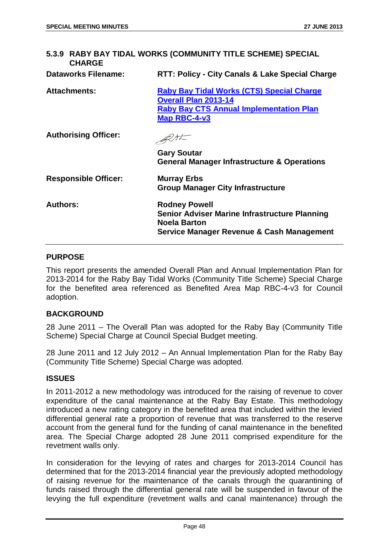| 5.3.9 RABY BAY TIDAL WORKS (COMMUNITY TITLE SCHEME) SPECIAL<br><b>CHARGE</b> |                                                                                                                                                   |  |
|------------------------------------------------------------------------------|---------------------------------------------------------------------------------------------------------------------------------------------------|--|
| <b>Dataworks Filename:</b>                                                   | RTT: Policy - City Canals & Lake Special Charge                                                                                                   |  |
| <b>Attachments:</b>                                                          | <b>Raby Bay Tidal Works (CTS) Special Charge</b><br><b>Overall Plan 2013-14</b><br><b>Raby Bay CTS Annual Implementation Plan</b><br>Map RBC-4-v3 |  |
| <b>Authorising Officer:</b>                                                  |                                                                                                                                                   |  |
|                                                                              | <b>Gary Soutar</b><br><b>General Manager Infrastructure &amp; Operations</b>                                                                      |  |
| <b>Responsible Officer:</b>                                                  | <b>Murray Erbs</b><br><b>Group Manager City Infrastructure</b>                                                                                    |  |
| <b>Authors:</b>                                                              | <b>Rodney Powell</b><br><b>Senior Adviser Marine Infrastructure Planning</b><br><b>Noela Barton</b><br>Service Manager Revenue & Cash Management  |  |

## **PURPOSE**

This report presents the amended Overall Plan and Annual Implementation Plan for 2013-2014 for the Raby Bay Tidal Works (Community Title Scheme) Special Charge for the benefited area referenced as Benefited Area Map RBC-4-v3 for Council adoption.

#### **BACKGROUND**

28 June 2011 – The Overall Plan was adopted for the Raby Bay (Community Title Scheme) Special Charge at Council Special Budget meeting.

28 June 2011 and 12 July 2012 – An Annual Implementation Plan for the Raby Bay (Community Title Scheme) Special Charge was adopted.

#### **ISSUES**

In 2011-2012 a new methodology was introduced for the raising of revenue to cover expenditure of the canal maintenance at the Raby Bay Estate. This methodology introduced a new rating category in the benefited area that included within the levied differential general rate a proportion of revenue that was transferred to the reserve account from the general fund for the funding of canal maintenance in the benefited area. The Special Charge adopted 28 June 2011 comprised expenditure for the revetment walls only.

In consideration for the levying of rates and charges for 2013-2014 Council has determined that for the 2013-2014 financial year the previously adopted methodology of raising revenue for the maintenance of the canals through the quarantining of funds raised through the differential general rate will be suspended in favour of the levying the full expenditure (revetment walls and canal maintenance) through the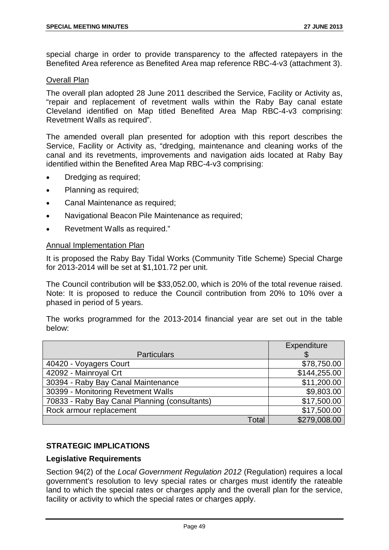special charge in order to provide transparency to the affected ratepayers in the Benefited Area reference as Benefited Area map reference RBC-4-v3 (attachment 3).

#### Overall Plan

The overall plan adopted 28 June 2011 described the Service, Facility or Activity as, "repair and replacement of revetment walls within the Raby Bay canal estate Cleveland identified on Map titled Benefited Area Map RBC-4-v3 comprising: Revetment Walls as required".

The amended overall plan presented for adoption with this report describes the Service, Facility or Activity as, "dredging, maintenance and cleaning works of the canal and its revetments, improvements and navigation aids located at Raby Bay identified within the Benefited Area Map RBC-4-v3 comprising:

- Dredging as required;
- Planning as required;
- Canal Maintenance as required;
- Navigational Beacon Pile Maintenance as required;
- Revetment Walls as required."

#### Annual Implementation Plan

It is proposed the Raby Bay Tidal Works (Community Title Scheme) Special Charge for 2013-2014 will be set at \$1,101.72 per unit.

The Council contribution will be \$33,052.00, which is 20% of the total revenue raised. Note: It is proposed to reduce the Council contribution from 20% to 10% over a phased in period of 5 years.

The works programmed for the 2013-2014 financial year are set out in the table below:

|                                               |              | Expenditure  |
|-----------------------------------------------|--------------|--------------|
| <b>Particulars</b>                            |              |              |
| 40420 - Voyagers Court                        |              | \$78,750.00  |
| 42092 - Mainroyal Crt                         |              | \$144,255.00 |
| 30394 - Raby Bay Canal Maintenance            |              | \$11,200.00  |
| 30399 - Monitoring Revetment Walls            |              | \$9,803.00   |
| 70833 - Raby Bay Canal Planning (consultants) |              | \$17,500.00  |
| Rock armour replacement                       |              | \$17,500.00  |
|                                               | <b>Total</b> | \$279,008.00 |

## **STRATEGIC IMPLICATIONS**

#### **Legislative Requirements**

Section 94(2) of the *Local Government Regulation 2012* (Regulation) requires a local government's resolution to levy special rates or charges must identify the rateable land to which the special rates or charges apply and the overall plan for the service, facility or activity to which the special rates or charges apply.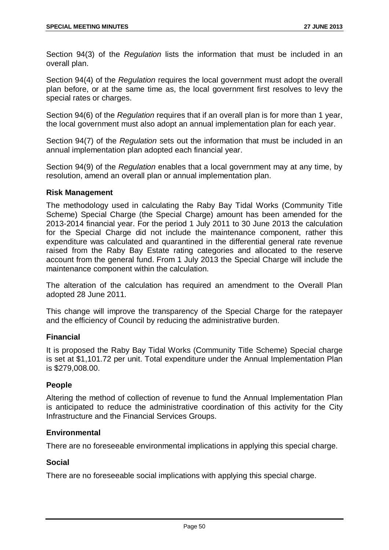Section 94(3) of the *Regulation* lists the information that must be included in an overall plan.

Section 94(4) of the *Regulation* requires the local government must adopt the overall plan before, or at the same time as, the local government first resolves to levy the special rates or charges.

Section 94(6) of the *Regulation* requires that if an overall plan is for more than 1 year, the local government must also adopt an annual implementation plan for each year.

Section 94(7) of the *Regulation* sets out the information that must be included in an annual implementation plan adopted each financial year.

Section 94(9) of the *Regulation* enables that a local government may at any time, by resolution, amend an overall plan or annual implementation plan.

#### **Risk Management**

The methodology used in calculating the Raby Bay Tidal Works (Community Title Scheme) Special Charge (the Special Charge) amount has been amended for the 2013-2014 financial year. For the period 1 July 2011 to 30 June 2013 the calculation for the Special Charge did not include the maintenance component, rather this expenditure was calculated and quarantined in the differential general rate revenue raised from the Raby Bay Estate rating categories and allocated to the reserve account from the general fund. From 1 July 2013 the Special Charge will include the maintenance component within the calculation.

The alteration of the calculation has required an amendment to the Overall Plan adopted 28 June 2011.

This change will improve the transparency of the Special Charge for the ratepayer and the efficiency of Council by reducing the administrative burden.

## **Financial**

It is proposed the Raby Bay Tidal Works (Community Title Scheme) Special charge is set at \$1,101.72 per unit. Total expenditure under the Annual Implementation Plan is \$279,008.00.

## **People**

Altering the method of collection of revenue to fund the Annual Implementation Plan is anticipated to reduce the administrative coordination of this activity for the City Infrastructure and the Financial Services Groups.

## **Environmental**

There are no foreseeable environmental implications in applying this special charge.

#### **Social**

There are no foreseeable social implications with applying this special charge.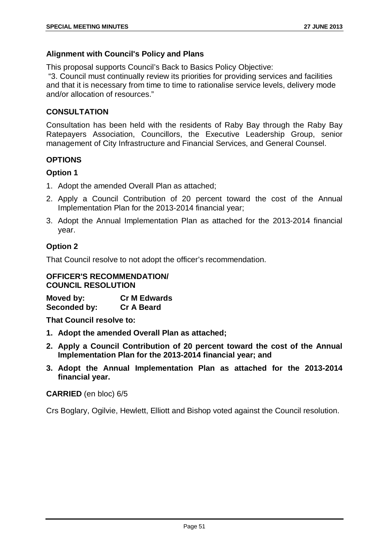## **Alignment with Council's Policy and Plans**

This proposal supports Council's Back to Basics Policy Objective:

"3. Council must continually review its priorities for providing services and facilities and that it is necessary from time to time to rationalise service levels, delivery mode and/or allocation of resources."

## **CONSULTATION**

Consultation has been held with the residents of Raby Bay through the Raby Bay Ratepayers Association, Councillors, the Executive Leadership Group, senior management of City Infrastructure and Financial Services, and General Counsel.

## **OPTIONS**

## **Option 1**

- 1. Adopt the amended Overall Plan as attached;
- 2. Apply a Council Contribution of 20 percent toward the cost of the Annual Implementation Plan for the 2013-2014 financial year;
- 3. Adopt the Annual Implementation Plan as attached for the 2013-2014 financial year.

# **Option 2**

That Council resolve to not adopt the officer's recommendation.

## **OFFICER'S RECOMMENDATION/ COUNCIL RESOLUTION**

| Moved by:    | <b>Cr M Edwards</b> |
|--------------|---------------------|
| Seconded by: | <b>Cr A Beard</b>   |

**That Council resolve to:**

- **1. Adopt the amended Overall Plan as attached;**
- **2. Apply a Council Contribution of 20 percent toward the cost of the Annual Implementation Plan for the 2013-2014 financial year; and**
- **3. Adopt the Annual Implementation Plan as attached for the 2013-2014 financial year.**

## **CARRIED** (en bloc) 6/5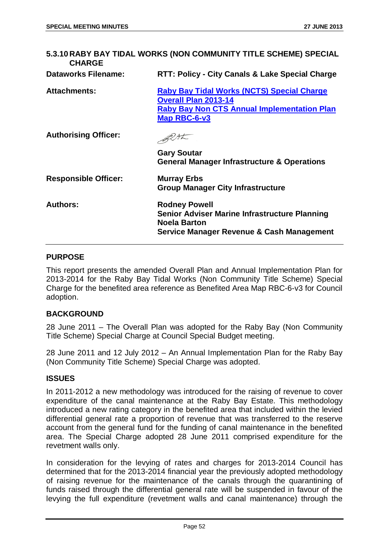| <b>CHARGE</b>               | 5.3.10 RABY BAY TIDAL WORKS (NON COMMUNITY TITLE SCHEME) SPECIAL                                                                                       |
|-----------------------------|--------------------------------------------------------------------------------------------------------------------------------------------------------|
| <b>Dataworks Filename:</b>  | RTT: Policy - City Canals & Lake Special Charge                                                                                                        |
| Attachments:                | <b>Raby Bay Tidal Works (NCTS) Special Charge</b><br><b>Overall Plan 2013-14</b><br><b>Raby Bay Non CTS Annual Implementation Plan</b><br>Map RBC-6-v3 |
| <b>Authorising Officer:</b> |                                                                                                                                                        |
|                             | <b>Gary Soutar</b><br><b>General Manager Infrastructure &amp; Operations</b>                                                                           |
| <b>Responsible Officer:</b> | <b>Murray Erbs</b><br><b>Group Manager City Infrastructure</b>                                                                                         |
| <b>Authors:</b>             | <b>Rodney Powell</b><br><b>Senior Adviser Marine Infrastructure Planning</b><br><b>Noela Barton</b><br>Service Manager Revenue & Cash Management       |

#### **PURPOSE**

This report presents the amended Overall Plan and Annual Implementation Plan for 2013-2014 for the Raby Bay Tidal Works (Non Community Title Scheme) Special Charge for the benefited area reference as Benefited Area Map RBC-6-v3 for Council adoption.

#### **BACKGROUND**

28 June 2011 – The Overall Plan was adopted for the Raby Bay (Non Community Title Scheme) Special Charge at Council Special Budget meeting.

28 June 2011 and 12 July 2012 – An Annual Implementation Plan for the Raby Bay (Non Community Title Scheme) Special Charge was adopted.

#### **ISSUES**

In 2011-2012 a new methodology was introduced for the raising of revenue to cover expenditure of the canal maintenance at the Raby Bay Estate. This methodology introduced a new rating category in the benefited area that included within the levied differential general rate a proportion of revenue that was transferred to the reserve account from the general fund for the funding of canal maintenance in the benefited area. The Special Charge adopted 28 June 2011 comprised expenditure for the revetment walls only.

In consideration for the levying of rates and charges for 2013-2014 Council has determined that for the 2013-2014 financial year the previously adopted methodology of raising revenue for the maintenance of the canals through the quarantining of funds raised through the differential general rate will be suspended in favour of the levying the full expenditure (revetment walls and canal maintenance) through the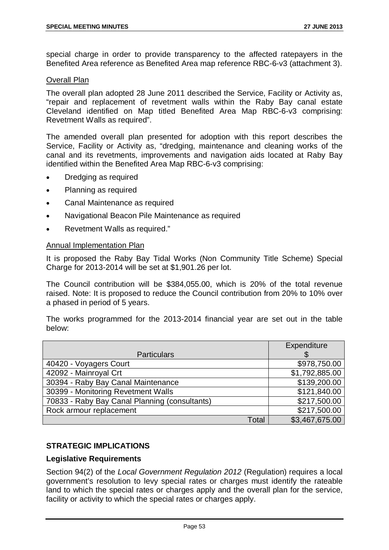special charge in order to provide transparency to the affected ratepayers in the Benefited Area reference as Benefited Area map reference RBC-6-v3 (attachment 3).

#### Overall Plan

The overall plan adopted 28 June 2011 described the Service, Facility or Activity as, "repair and replacement of revetment walls within the Raby Bay canal estate Cleveland identified on Map titled Benefited Area Map RBC-6-v3 comprising: Revetment Walls as required".

The amended overall plan presented for adoption with this report describes the Service, Facility or Activity as, "dredging, maintenance and cleaning works of the canal and its revetments, improvements and navigation aids located at Raby Bay identified within the Benefited Area Map RBC-6-v3 comprising:

- Dredging as required
- Planning as required
- Canal Maintenance as required
- Navigational Beacon Pile Maintenance as required
- Revetment Walls as required."

#### Annual Implementation Plan

It is proposed the Raby Bay Tidal Works (Non Community Title Scheme) Special Charge for 2013-2014 will be set at \$1,901.26 per lot.

The Council contribution will be \$384,055.00, which is 20% of the total revenue raised. Note: It is proposed to reduce the Council contribution from 20% to 10% over a phased in period of 5 years.

The works programmed for the 2013-2014 financial year are set out in the table below:

|                                               |       | Expenditure    |
|-----------------------------------------------|-------|----------------|
| <b>Particulars</b>                            |       |                |
| 40420 - Voyagers Court                        |       | \$978,750.00   |
| 42092 - Mainroyal Crt                         |       | \$1,792,885.00 |
| 30394 - Raby Bay Canal Maintenance            |       | \$139,200.00   |
| 30399 - Monitoring Revetment Walls            |       | \$121,840.00   |
| 70833 - Raby Bay Canal Planning (consultants) |       | \$217,500.00   |
| Rock armour replacement                       |       | \$217,500.00   |
|                                               | Total | \$3,467,675.00 |

## **STRATEGIC IMPLICATIONS**

#### **Legislative Requirements**

Section 94(2) of the *Local Government Regulation 2012* (Regulation) requires a local government's resolution to levy special rates or charges must identify the rateable land to which the special rates or charges apply and the overall plan for the service, facility or activity to which the special rates or charges apply.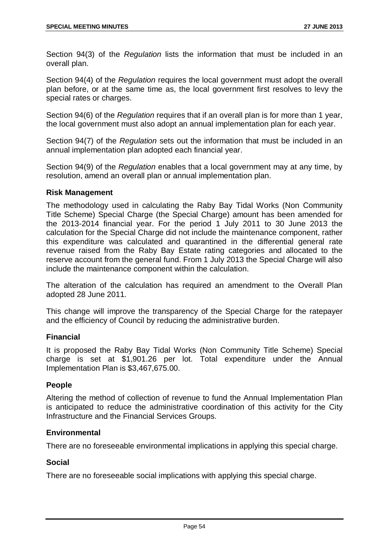Section 94(3) of the *Regulation* lists the information that must be included in an overall plan.

Section 94(4) of the *Regulation* requires the local government must adopt the overall plan before, or at the same time as, the local government first resolves to levy the special rates or charges.

Section 94(6) of the *Regulation* requires that if an overall plan is for more than 1 year, the local government must also adopt an annual implementation plan for each year.

Section 94(7) of the *Regulation* sets out the information that must be included in an annual implementation plan adopted each financial year.

Section 94(9) of the *Regulation* enables that a local government may at any time, by resolution, amend an overall plan or annual implementation plan.

#### **Risk Management**

The methodology used in calculating the Raby Bay Tidal Works (Non Community Title Scheme) Special Charge (the Special Charge) amount has been amended for the 2013-2014 financial year. For the period 1 July 2011 to 30 June 2013 the calculation for the Special Charge did not include the maintenance component, rather this expenditure was calculated and quarantined in the differential general rate revenue raised from the Raby Bay Estate rating categories and allocated to the reserve account from the general fund. From 1 July 2013 the Special Charge will also include the maintenance component within the calculation.

The alteration of the calculation has required an amendment to the Overall Plan adopted 28 June 2011.

This change will improve the transparency of the Special Charge for the ratepayer and the efficiency of Council by reducing the administrative burden.

## **Financial**

It is proposed the Raby Bay Tidal Works (Non Community Title Scheme) Special charge is set at \$1,901.26 per lot. Total expenditure under the Annual Implementation Plan is \$3,467,675.00.

## **People**

Altering the method of collection of revenue to fund the Annual Implementation Plan is anticipated to reduce the administrative coordination of this activity for the City Infrastructure and the Financial Services Groups.

## **Environmental**

There are no foreseeable environmental implications in applying this special charge.

#### **Social**

There are no foreseeable social implications with applying this special charge.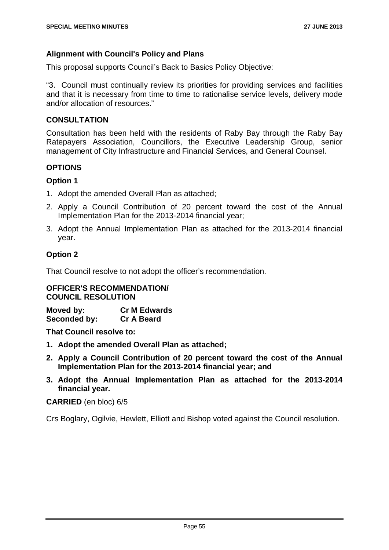## **Alignment with Council's Policy and Plans**

This proposal supports Council's Back to Basics Policy Objective:

"3. Council must continually review its priorities for providing services and facilities and that it is necessary from time to time to rationalise service levels, delivery mode and/or allocation of resources."

## **CONSULTATION**

Consultation has been held with the residents of Raby Bay through the Raby Bay Ratepayers Association, Councillors, the Executive Leadership Group, senior management of City Infrastructure and Financial Services, and General Counsel.

## **OPTIONS**

## **Option 1**

- 1. Adopt the amended Overall Plan as attached;
- 2. Apply a Council Contribution of 20 percent toward the cost of the Annual Implementation Plan for the 2013-2014 financial year;
- 3. Adopt the Annual Implementation Plan as attached for the 2013-2014 financial year.

## **Option 2**

That Council resolve to not adopt the officer's recommendation.

#### **OFFICER'S RECOMMENDATION/ COUNCIL RESOLUTION**

**Moved by: Cr M Edwards Seconded by: Cr A Beard**

**That Council resolve to:**

- **1. Adopt the amended Overall Plan as attached;**
- **2. Apply a Council Contribution of 20 percent toward the cost of the Annual Implementation Plan for the 2013-2014 financial year; and**
- **3. Adopt the Annual Implementation Plan as attached for the 2013-2014 financial year.**

#### **CARRIED** (en bloc) 6/5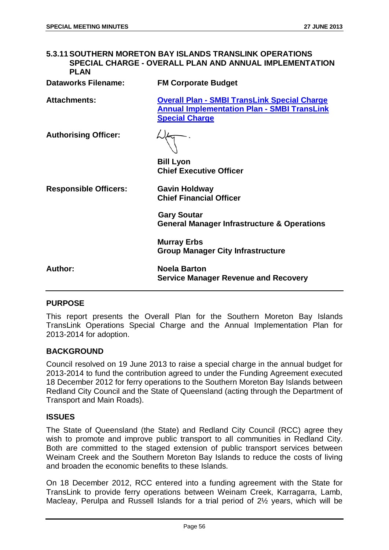# **5.3.11SOUTHERN MORETON BAY ISLANDS TRANSLINK OPERATIONS SPECIAL CHARGE - OVERALL PLAN AND ANNUAL IMPLEMENTATION PLAN Dataworks Filename: FM Corporate Budget Attachments: Overall Plan - SMBI TransLink Special Charge Annual Implementation Plan - SMBI TransLink Special Charge Authorising Officer: Bill Lyon Chief Executive Officer Responsible Officers: Gavin Holdway Chief Financial Officer Gary Soutar General Manager Infrastructure & Operations Murray Erbs Group Manager City Infrastructure Author: Noela Barton Service Manager Revenue and Recovery**

#### **PURPOSE**

This report presents the Overall Plan for the Southern Moreton Bay Islands TransLink Operations Special Charge and the Annual Implementation Plan for 2013-2014 for adoption.

#### **BACKGROUND**

Council resolved on 19 June 2013 to raise a special charge in the annual budget for 2013-2014 to fund the contribution agreed to under the Funding Agreement executed 18 December 2012 for ferry operations to the Southern Moreton Bay Islands between Redland City Council and the State of Queensland (acting through the Department of Transport and Main Roads).

#### **ISSUES**

The State of Queensland (the State) and Redland City Council (RCC) agree they wish to promote and improve public transport to all communities in Redland City. Both are committed to the staged extension of public transport services between Weinam Creek and the Southern Moreton Bay Islands to reduce the costs of living and broaden the economic benefits to these Islands.

On 18 December 2012, RCC entered into a funding agreement with the State for TransLink to provide ferry operations between Weinam Creek, Karragarra, Lamb, Macleay, Perulpa and Russell Islands for a trial period of 2½ years, which will be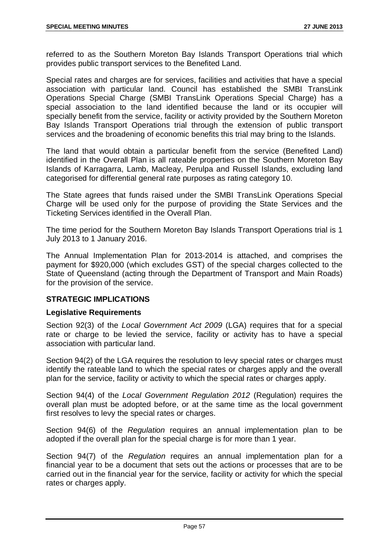referred to as the Southern Moreton Bay Islands Transport Operations trial which provides public transport services to the Benefited Land.

Special rates and charges are for services, facilities and activities that have a special association with particular land. Council has established the SMBI TransLink Operations Special Charge (SMBI TransLink Operations Special Charge) has a special association to the land identified because the land or its occupier will specially benefit from the service, facility or activity provided by the Southern Moreton Bay Islands Transport Operations trial through the extension of public transport services and the broadening of economic benefits this trial may bring to the Islands.

The land that would obtain a particular benefit from the service (Benefited Land) identified in the Overall Plan is all rateable properties on the Southern Moreton Bay Islands of Karragarra, Lamb, Macleay, Perulpa and Russell Islands, excluding land categorised for differential general rate purposes as rating category 10.

The State agrees that funds raised under the SMBI TransLink Operations Special Charge will be used only for the purpose of providing the State Services and the Ticketing Services identified in the Overall Plan.

The time period for the Southern Moreton Bay Islands Transport Operations trial is 1 July 2013 to 1 January 2016.

The Annual Implementation Plan for 2013-2014 is attached, and comprises the payment for \$920,000 (which excludes GST) of the special charges collected to the State of Queensland (acting through the Department of Transport and Main Roads) for the provision of the service.

## **STRATEGIC IMPLICATIONS**

## **Legislative Requirements**

Section 92(3) of the *Local Government Act 2009* (LGA) requires that for a special rate or charge to be levied the service, facility or activity has to have a special association with particular land.

Section 94(2) of the LGA requires the resolution to levy special rates or charges must identify the rateable land to which the special rates or charges apply and the overall plan for the service, facility or activity to which the special rates or charges apply.

Section 94(4) of the *Local Government Regulation 2012* (Regulation) requires the overall plan must be adopted before, or at the same time as the local government first resolves to levy the special rates or charges.

Section 94(6) of the *Regulation* requires an annual implementation plan to be adopted if the overall plan for the special charge is for more than 1 year.

Section 94(7) of the *Regulation* requires an annual implementation plan for a financial year to be a document that sets out the actions or processes that are to be carried out in the financial year for the service, facility or activity for which the special rates or charges apply.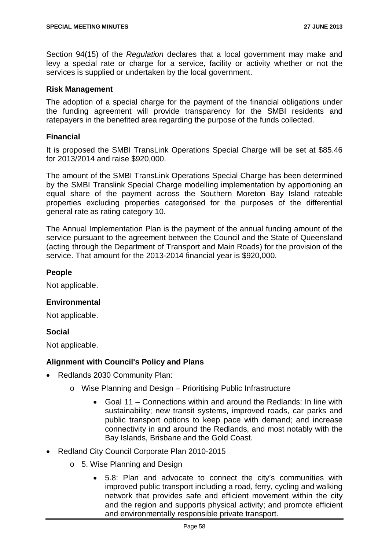Section 94(15) of the *Regulation* declares that a local government may make and levy a special rate or charge for a service, facility or activity whether or not the services is supplied or undertaken by the local government.

## **Risk Management**

The adoption of a special charge for the payment of the financial obligations under the funding agreement will provide transparency for the SMBI residents and ratepayers in the benefited area regarding the purpose of the funds collected.

## **Financial**

It is proposed the SMBI TransLink Operations Special Charge will be set at \$85.46 for 2013/2014 and raise \$920,000.

The amount of the SMBI TransLink Operations Special Charge has been determined by the SMBI Translink Special Charge modelling implementation by apportioning an equal share of the payment across the Southern Moreton Bay Island rateable properties excluding properties categorised for the purposes of the differential general rate as rating category 10.

The Annual Implementation Plan is the payment of the annual funding amount of the service pursuant to the agreement between the Council and the State of Queensland (acting through the Department of Transport and Main Roads) for the provision of the service. That amount for the 2013-2014 financial year is \$920,000.

## **People**

Not applicable.

## **Environmental**

Not applicable.

#### **Social**

Not applicable.

## **Alignment with Council's Policy and Plans**

- Redlands 2030 Community Plan:
	- o Wise Planning and Design Prioritising Public Infrastructure
		- Goal 11 Connections within and around the Redlands: In line with sustainability; new transit systems, improved roads, car parks and public transport options to keep pace with demand; and increase connectivity in and around the Redlands, and most notably with the Bay Islands, Brisbane and the Gold Coast.
- Redland City Council Corporate Plan 2010-2015
	- o 5. Wise Planning and Design
		- 5.8: Plan and advocate to connect the city's communities with improved public transport including a road, ferry, cycling and walking network that provides safe and efficient movement within the city and the region and supports physical activity; and promote efficient and environmentally responsible private transport.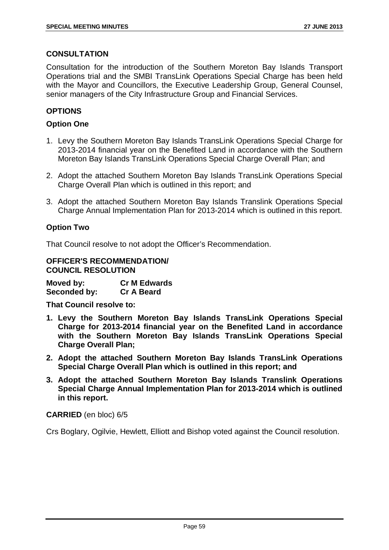## **CONSULTATION**

Consultation for the introduction of the Southern Moreton Bay Islands Transport Operations trial and the SMBI TransLink Operations Special Charge has been held with the Mayor and Councillors, the Executive Leadership Group, General Counsel, senior managers of the City Infrastructure Group and Financial Services.

# **OPTIONS**

## **Option One**

- 1. Levy the Southern Moreton Bay Islands TransLink Operations Special Charge for 2013-2014 financial year on the Benefited Land in accordance with the Southern Moreton Bay Islands TransLink Operations Special Charge Overall Plan; and
- 2. Adopt the attached Southern Moreton Bay Islands TransLink Operations Special Charge Overall Plan which is outlined in this report; and
- 3. Adopt the attached Southern Moreton Bay Islands Translink Operations Special Charge Annual Implementation Plan for 2013-2014 which is outlined in this report.

## **Option Two**

That Council resolve to not adopt the Officer's Recommendation.

**OFFICER'S RECOMMENDATION/ COUNCIL RESOLUTION**

**Moved by: Cr M Edwards Seconded by: Cr A Beard**

**That Council resolve to:**

- **1. Levy the Southern Moreton Bay Islands TransLink Operations Special Charge for 2013-2014 financial year on the Benefited Land in accordance with the Southern Moreton Bay Islands TransLink Operations Special Charge Overall Plan;**
- **2. Adopt the attached Southern Moreton Bay Islands TransLink Operations Special Charge Overall Plan which is outlined in this report; and**
- **3. Adopt the attached Southern Moreton Bay Islands Translink Operations Special Charge Annual Implementation Plan for 2013-2014 which is outlined in this report.**

**CARRIED** (en bloc) 6/5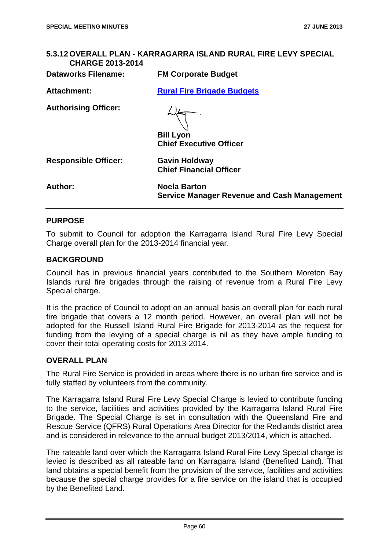| <b>CHARGE 2013-2014</b>     | 5.3.12 OVERALL PLAN - KARRAGARRA ISLAND RURAL FIRE LEVY SPECIAL           |
|-----------------------------|---------------------------------------------------------------------------|
| <b>Dataworks Filename:</b>  | <b>FM Corporate Budget</b>                                                |
| <b>Attachment:</b>          | <b>Rural Fire Brigade Budgets</b>                                         |
| <b>Authorising Officer:</b> | <b>Bill Lyon</b><br><b>Chief Executive Officer</b>                        |
| <b>Responsible Officer:</b> | <b>Gavin Holdway</b><br><b>Chief Financial Officer</b>                    |
| Author:                     | <b>Noela Barton</b><br><b>Service Manager Revenue and Cash Management</b> |

#### **PURPOSE**

To submit to Council for adoption the Karragarra Island Rural Fire Levy Special Charge overall plan for the 2013-2014 financial year.

#### **BACKGROUND**

Council has in previous financial years contributed to the Southern Moreton Bay Islands rural fire brigades through the raising of revenue from a Rural Fire Levy Special charge.

It is the practice of Council to adopt on an annual basis an overall plan for each rural fire brigade that covers a 12 month period. However, an overall plan will not be adopted for the Russell Island Rural Fire Brigade for 2013-2014 as the request for funding from the levying of a special charge is nil as they have ample funding to cover their total operating costs for 2013-2014.

## **OVERALL PLAN**

The Rural Fire Service is provided in areas where there is no urban fire service and is fully staffed by volunteers from the community.

The Karragarra Island Rural Fire Levy Special Charge is levied to contribute funding to the service, facilities and activities provided by the Karragarra Island Rural Fire Brigade. The Special Charge is set in consultation with the Queensland Fire and Rescue Service (QFRS) Rural Operations Area Director for the Redlands district area and is considered in relevance to the annual budget 2013/2014, which is attached.

The rateable land over which the Karragarra Island Rural Fire Levy Special charge is levied is described as all rateable land on Karragarra Island (Benefited Land). That land obtains a special benefit from the provision of the service, facilities and activities because the special charge provides for a fire service on the island that is occupied by the Benefited Land.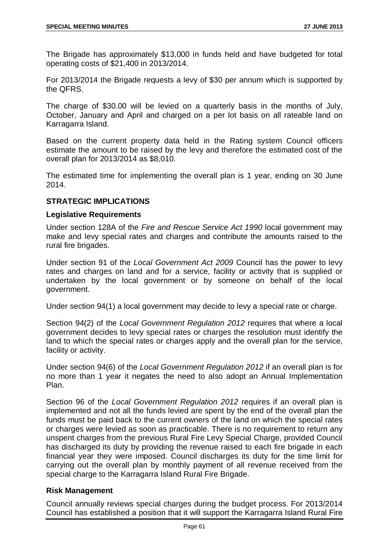The Brigade has approximately \$13,000 in funds held and have budgeted for total operating costs of \$21,400 in 2013/2014.

For 2013/2014 the Brigade requests a levy of \$30 per annum which is supported by the QFRS.

The charge of \$30.00 will be levied on a quarterly basis in the months of July, October, January and April and charged on a per lot basis on all rateable land on Karragarra Island.

Based on the current property data held in the Rating system Council officers estimate the amount to be raised by the levy and therefore the estimated cost of the overall plan for 2013/2014 as \$8,010.

The estimated time for implementing the overall plan is 1 year, ending on 30 June 2014.

## **STRATEGIC IMPLICATIONS**

## **Legislative Requirements**

Under section 128A of the *Fire and Rescue Service Act 1990* local government may make and levy special rates and charges and contribute the amounts raised to the rural fire brigades.

Under section 91 of the *Local Government Act 2009* Council has the power to levy rates and charges on land and for a service, facility or activity that is supplied or undertaken by the local government or by someone on behalf of the local government.

Under section 94(1) a local government may decide to levy a special rate or charge.

Section 94(2) of the *Local Government Regulation 2012* requires that where a local government decides to levy special rates or charges the resolution must identify the land to which the special rates or charges apply and the overall plan for the service, facility or activity.

Under section 94(6) of the *Local Government Regulation 2012* if an overall plan is for no more than 1 year it negates the need to also adopt an Annual Implementation Plan.

Section 96 of the *Local Government Regulation 2012* requires if an overall plan is implemented and not all the funds levied are spent by the end of the overall plan the funds must be paid back to the current owners of the land on which the special rates or charges were levied as soon as practicable. There is no requirement to return any unspent charges from the previous Rural Fire Levy Special Charge, provided Council has discharged its duty by providing the revenue raised to each fire brigade in each financial year they were imposed. Council discharges its duty for the time limit for carrying out the overall plan by monthly payment of all revenue received from the special charge to the Karragarra Island Rural Fire Brigade.

## **Risk Management**

Council annually reviews special charges during the budget process. For 2013/2014 Council has established a position that it will support the Karragarra Island Rural Fire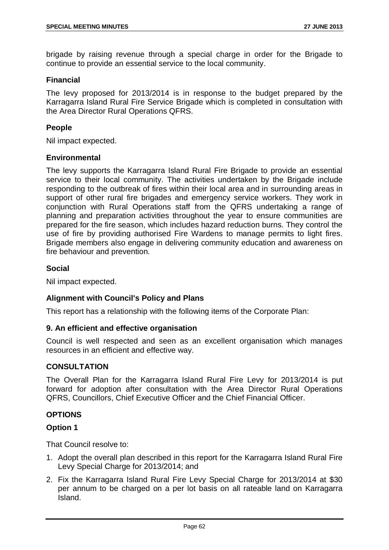brigade by raising revenue through a special charge in order for the Brigade to continue to provide an essential service to the local community.

#### **Financial**

The levy proposed for 2013/2014 is in response to the budget prepared by the Karragarra Island Rural Fire Service Brigade which is completed in consultation with the Area Director Rural Operations QFRS.

#### **People**

Nil impact expected.

#### **Environmental**

The levy supports the Karragarra Island Rural Fire Brigade to provide an essential service to their local community. The activities undertaken by the Brigade include responding to the outbreak of fires within their local area and in surrounding areas in support of other rural fire brigades and emergency service workers. They work in conjunction with Rural Operations staff from the QFRS undertaking a range of planning and preparation activities throughout the year to ensure communities are prepared for the fire season, which includes hazard reduction burns. They control the use of fire by providing authorised Fire Wardens to manage permits to light fires. Brigade members also engage in delivering community education and awareness on fire behaviour and prevention.

## **Social**

Nil impact expected.

#### **Alignment with Council's Policy and Plans**

This report has a relationship with the following items of the Corporate Plan:

#### **9. An efficient and effective organisation**

Council is well respected and seen as an excellent organisation which manages resources in an efficient and effective way.

#### **CONSULTATION**

The Overall Plan for the Karragarra Island Rural Fire Levy for 2013/2014 is put forward for adoption after consultation with the Area Director Rural Operations QFRS, Councillors, Chief Executive Officer and the Chief Financial Officer.

#### **OPTIONS**

#### **Option 1**

That Council resolve to:

- 1. Adopt the overall plan described in this report for the Karragarra Island Rural Fire Levy Special Charge for 2013/2014; and
- 2. Fix the Karragarra Island Rural Fire Levy Special Charge for 2013/2014 at \$30 per annum to be charged on a per lot basis on all rateable land on Karragarra Island.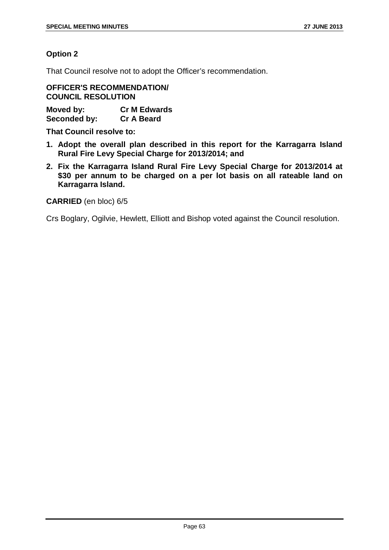## **Option 2**

That Council resolve not to adopt the Officer's recommendation.

**OFFICER'S RECOMMENDATION/ COUNCIL RESOLUTION**

**Moved by: Cr M Edwards Seconded by:** 

**That Council resolve to:**

- **1. Adopt the overall plan described in this report for the Karragarra Island Rural Fire Levy Special Charge for 2013/2014; and**
- **2. Fix the Karragarra Island Rural Fire Levy Special Charge for 2013/2014 at \$30 per annum to be charged on a per lot basis on all rateable land on Karragarra Island.**

**CARRIED** (en bloc) 6/5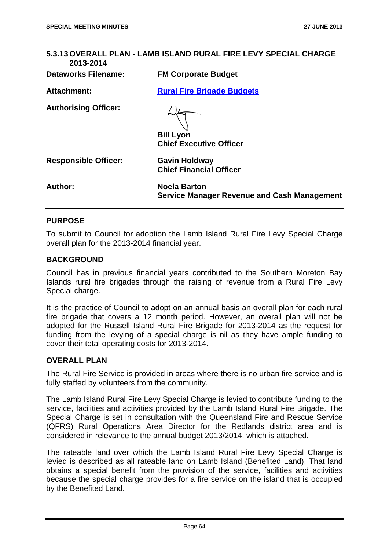| 5.3.13 OVERALL PLAN - LAMB ISLAND RURAL FIRE LEVY SPECIAL CHARGE<br>2013-2014 |                                                                           |
|-------------------------------------------------------------------------------|---------------------------------------------------------------------------|
| <b>Dataworks Filename:</b>                                                    | <b>FM Corporate Budget</b>                                                |
| <b>Attachment:</b>                                                            | <b>Rural Fire Brigade Budgets</b>                                         |
| <b>Authorising Officer:</b>                                                   | <b>Bill Lyon</b><br><b>Chief Executive Officer</b>                        |
| <b>Responsible Officer:</b>                                                   | <b>Gavin Holdway</b><br><b>Chief Financial Officer</b>                    |
| <b>Author:</b>                                                                | <b>Noela Barton</b><br><b>Service Manager Revenue and Cash Management</b> |

#### **PURPOSE**

To submit to Council for adoption the Lamb Island Rural Fire Levy Special Charge overall plan for the 2013-2014 financial year.

#### **BACKGROUND**

Council has in previous financial years contributed to the Southern Moreton Bay Islands rural fire brigades through the raising of revenue from a Rural Fire Levy Special charge.

It is the practice of Council to adopt on an annual basis an overall plan for each rural fire brigade that covers a 12 month period. However, an overall plan will not be adopted for the Russell Island Rural Fire Brigade for 2013-2014 as the request for funding from the levying of a special charge is nil as they have ample funding to cover their total operating costs for 2013-2014.

## **OVERALL PLAN**

The Rural Fire Service is provided in areas where there is no urban fire service and is fully staffed by volunteers from the community.

The Lamb Island Rural Fire Levy Special Charge is levied to contribute funding to the service, facilities and activities provided by the Lamb Island Rural Fire Brigade. The Special Charge is set in consultation with the Queensland Fire and Rescue Service (QFRS) Rural Operations Area Director for the Redlands district area and is considered in relevance to the annual budget 2013/2014, which is attached.

The rateable land over which the Lamb Island Rural Fire Levy Special Charge is levied is described as all rateable land on Lamb Island (Benefited Land). That land obtains a special benefit from the provision of the service, facilities and activities because the special charge provides for a fire service on the island that is occupied by the Benefited Land.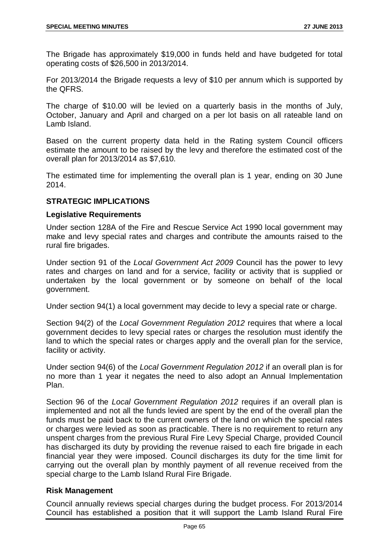The Brigade has approximately \$19,000 in funds held and have budgeted for total operating costs of \$26,500 in 2013/2014.

For 2013/2014 the Brigade requests a levy of \$10 per annum which is supported by the QFRS.

The charge of \$10.00 will be levied on a quarterly basis in the months of July, October, January and April and charged on a per lot basis on all rateable land on Lamb Island.

Based on the current property data held in the Rating system Council officers estimate the amount to be raised by the levy and therefore the estimated cost of the overall plan for 2013/2014 as \$7,610.

The estimated time for implementing the overall plan is 1 year, ending on 30 June 2014.

## **STRATEGIC IMPLICATIONS**

## **Legislative Requirements**

Under section 128A of the Fire and Rescue Service Act 1990 local government may make and levy special rates and charges and contribute the amounts raised to the rural fire brigades.

Under section 91 of the *Local Government Act 2009* Council has the power to levy rates and charges on land and for a service, facility or activity that is supplied or undertaken by the local government or by someone on behalf of the local government.

Under section 94(1) a local government may decide to levy a special rate or charge.

Section 94(2) of the *Local Government Regulation 2012* requires that where a local government decides to levy special rates or charges the resolution must identify the land to which the special rates or charges apply and the overall plan for the service, facility or activity.

Under section 94(6) of the *Local Government Regulation 2012* if an overall plan is for no more than 1 year it negates the need to also adopt an Annual Implementation Plan.

Section 96 of the *Local Government Regulation 2012* requires if an overall plan is implemented and not all the funds levied are spent by the end of the overall plan the funds must be paid back to the current owners of the land on which the special rates or charges were levied as soon as practicable. There is no requirement to return any unspent charges from the previous Rural Fire Levy Special Charge, provided Council has discharged its duty by providing the revenue raised to each fire brigade in each financial year they were imposed. Council discharges its duty for the time limit for carrying out the overall plan by monthly payment of all revenue received from the special charge to the Lamb Island Rural Fire Brigade.

## **Risk Management**

Council annually reviews special charges during the budget process. For 2013/2014 Council has established a position that it will support the Lamb Island Rural Fire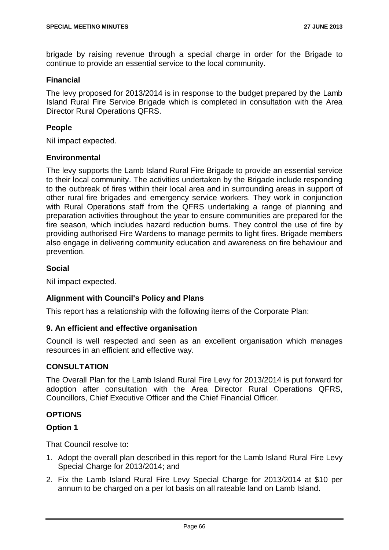brigade by raising revenue through a special charge in order for the Brigade to continue to provide an essential service to the local community.

#### **Financial**

The levy proposed for 2013/2014 is in response to the budget prepared by the Lamb Island Rural Fire Service Brigade which is completed in consultation with the Area Director Rural Operations QFRS.

## **People**

Nil impact expected.

#### **Environmental**

The levy supports the Lamb Island Rural Fire Brigade to provide an essential service to their local community. The activities undertaken by the Brigade include responding to the outbreak of fires within their local area and in surrounding areas in support of other rural fire brigades and emergency service workers. They work in conjunction with Rural Operations staff from the QFRS undertaking a range of planning and preparation activities throughout the year to ensure communities are prepared for the fire season, which includes hazard reduction burns. They control the use of fire by providing authorised Fire Wardens to manage permits to light fires. Brigade members also engage in delivering community education and awareness on fire behaviour and prevention.

## **Social**

Nil impact expected.

#### **Alignment with Council's Policy and Plans**

This report has a relationship with the following items of the Corporate Plan:

#### **9. An efficient and effective organisation**

Council is well respected and seen as an excellent organisation which manages resources in an efficient and effective way.

#### **CONSULTATION**

The Overall Plan for the Lamb Island Rural Fire Levy for 2013/2014 is put forward for adoption after consultation with the Area Director Rural Operations QFRS, Councillors, Chief Executive Officer and the Chief Financial Officer.

## **OPTIONS**

#### **Option 1**

That Council resolve to:

- 1. Adopt the overall plan described in this report for the Lamb Island Rural Fire Levy Special Charge for 2013/2014; and
- 2. Fix the Lamb Island Rural Fire Levy Special Charge for 2013/2014 at \$10 per annum to be charged on a per lot basis on all rateable land on Lamb Island.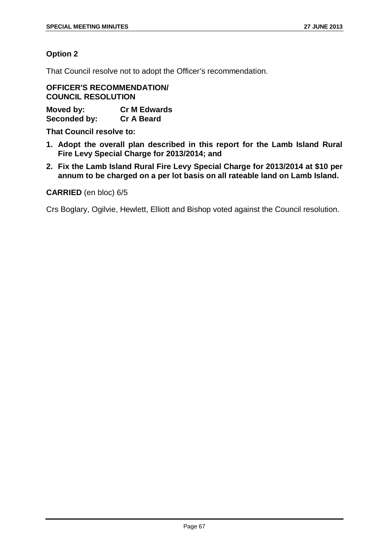## **Option 2**

That Council resolve not to adopt the Officer's recommendation.

**OFFICER'S RECOMMENDATION/ COUNCIL RESOLUTION**

**Moved by: Cr M Edwards Seconded by:** 

**That Council resolve to:**

- **1. Adopt the overall plan described in this report for the Lamb Island Rural Fire Levy Special Charge for 2013/2014; and**
- **2. Fix the Lamb Island Rural Fire Levy Special Charge for 2013/2014 at \$10 per annum to be charged on a per lot basis on all rateable land on Lamb Island.**

#### **CARRIED** (en bloc) 6/5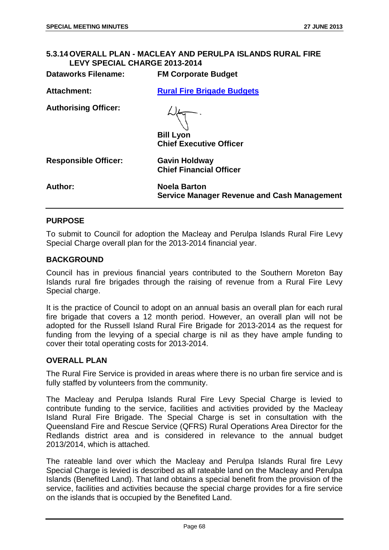## **5.3.14 OVERALL PLAN - MACLEAY AND PERULPA ISLANDS RURAL FIRE LEVY SPECIAL CHARGE 2013-2014**

| <b>Dataworks Filename:</b>  | <b>FM Corporate Budget</b>                                                |
|-----------------------------|---------------------------------------------------------------------------|
| <b>Attachment:</b>          | <b>Rural Fire Brigade Budgets</b>                                         |
| <b>Authorising Officer:</b> | <b>Bill Lyon</b><br><b>Chief Executive Officer</b>                        |
| <b>Responsible Officer:</b> | <b>Gavin Holdway</b><br><b>Chief Financial Officer</b>                    |
| Author:                     | <b>Noela Barton</b><br><b>Service Manager Revenue and Cash Management</b> |

## **PURPOSE**

To submit to Council for adoption the Macleay and Perulpa Islands Rural Fire Levy Special Charge overall plan for the 2013-2014 financial year.

#### **BACKGROUND**

Council has in previous financial years contributed to the Southern Moreton Bay Islands rural fire brigades through the raising of revenue from a Rural Fire Levy Special charge.

It is the practice of Council to adopt on an annual basis an overall plan for each rural fire brigade that covers a 12 month period. However, an overall plan will not be adopted for the Russell Island Rural Fire Brigade for 2013-2014 as the request for funding from the levying of a special charge is nil as they have ample funding to cover their total operating costs for 2013-2014.

## **OVERALL PLAN**

The Rural Fire Service is provided in areas where there is no urban fire service and is fully staffed by volunteers from the community.

The Macleay and Perulpa Islands Rural Fire Levy Special Charge is levied to contribute funding to the service, facilities and activities provided by the Macleay Island Rural Fire Brigade. The Special Charge is set in consultation with the Queensland Fire and Rescue Service (QFRS) Rural Operations Area Director for the Redlands district area and is considered in relevance to the annual budget 2013/2014, which is attached.

The rateable land over which the Macleay and Perulpa Islands Rural fire Levy Special Charge is levied is described as all rateable land on the Macleay and Perulpa Islands (Benefited Land). That land obtains a special benefit from the provision of the service, facilities and activities because the special charge provides for a fire service on the islands that is occupied by the Benefited Land.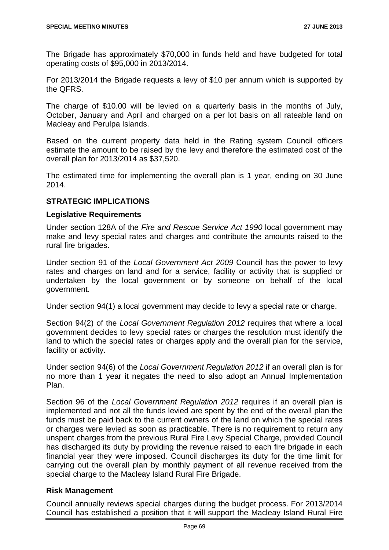The Brigade has approximately \$70,000 in funds held and have budgeted for total operating costs of \$95,000 in 2013/2014.

For 2013/2014 the Brigade requests a levy of \$10 per annum which is supported by the QFRS.

The charge of \$10.00 will be levied on a quarterly basis in the months of July, October, January and April and charged on a per lot basis on all rateable land on Macleay and Perulpa Islands.

Based on the current property data held in the Rating system Council officers estimate the amount to be raised by the levy and therefore the estimated cost of the overall plan for 2013/2014 as \$37,520.

The estimated time for implementing the overall plan is 1 year, ending on 30 June 2014.

## **STRATEGIC IMPLICATIONS**

## **Legislative Requirements**

Under section 128A of the *Fire and Rescue Service Act 1990* local government may make and levy special rates and charges and contribute the amounts raised to the rural fire brigades.

Under section 91 of the *Local Government Act 2009* Council has the power to levy rates and charges on land and for a service, facility or activity that is supplied or undertaken by the local government or by someone on behalf of the local government.

Under section 94(1) a local government may decide to levy a special rate or charge.

Section 94(2) of the *Local Government Regulation 2012* requires that where a local government decides to levy special rates or charges the resolution must identify the land to which the special rates or charges apply and the overall plan for the service, facility or activity.

Under section 94(6) of the *Local Government Regulation 2012* if an overall plan is for no more than 1 year it negates the need to also adopt an Annual Implementation Plan.

Section 96 of the *Local Government Regulation 2012* requires if an overall plan is implemented and not all the funds levied are spent by the end of the overall plan the funds must be paid back to the current owners of the land on which the special rates or charges were levied as soon as practicable. There is no requirement to return any unspent charges from the previous Rural Fire Levy Special Charge, provided Council has discharged its duty by providing the revenue raised to each fire brigade in each financial year they were imposed. Council discharges its duty for the time limit for carrying out the overall plan by monthly payment of all revenue received from the special charge to the Macleay Island Rural Fire Brigade.

## **Risk Management**

Council annually reviews special charges during the budget process. For 2013/2014 Council has established a position that it will support the Macleay Island Rural Fire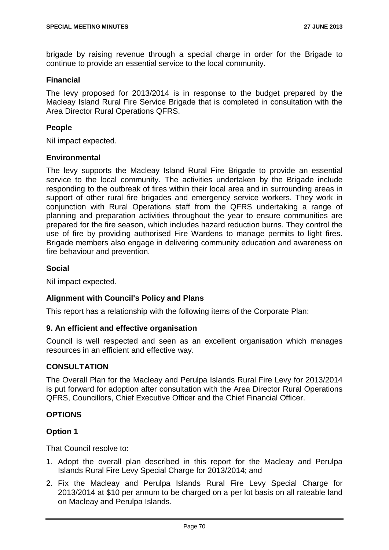brigade by raising revenue through a special charge in order for the Brigade to continue to provide an essential service to the local community.

## **Financial**

The levy proposed for 2013/2014 is in response to the budget prepared by the Macleay Island Rural Fire Service Brigade that is completed in consultation with the Area Director Rural Operations QFRS.

## **People**

Nil impact expected.

#### **Environmental**

The levy supports the Macleay Island Rural Fire Brigade to provide an essential service to the local community. The activities undertaken by the Brigade include responding to the outbreak of fires within their local area and in surrounding areas in support of other rural fire brigades and emergency service workers. They work in conjunction with Rural Operations staff from the QFRS undertaking a range of planning and preparation activities throughout the year to ensure communities are prepared for the fire season, which includes hazard reduction burns. They control the use of fire by providing authorised Fire Wardens to manage permits to light fires. Brigade members also engage in delivering community education and awareness on fire behaviour and prevention.

## **Social**

Nil impact expected.

## **Alignment with Council's Policy and Plans**

This report has a relationship with the following items of the Corporate Plan:

#### **9. An efficient and effective organisation**

Council is well respected and seen as an excellent organisation which manages resources in an efficient and effective way.

#### **CONSULTATION**

The Overall Plan for the Macleay and Perulpa Islands Rural Fire Levy for 2013/2014 is put forward for adoption after consultation with the Area Director Rural Operations QFRS, Councillors, Chief Executive Officer and the Chief Financial Officer.

#### **OPTIONS**

## **Option 1**

That Council resolve to:

- 1. Adopt the overall plan described in this report for the Macleay and Perulpa Islands Rural Fire Levy Special Charge for 2013/2014; and
- 2. Fix the Macleay and Perulpa Islands Rural Fire Levy Special Charge for 2013/2014 at \$10 per annum to be charged on a per lot basis on all rateable land on Macleay and Perulpa Islands.